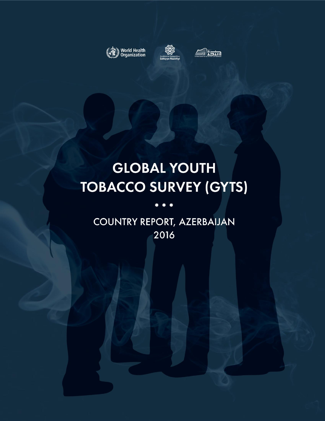





# **GLOBAL YOUTH TOBACCO SURVEY (GYTS)**

# COUNTRY REPORT, AZERBAIJAN 2016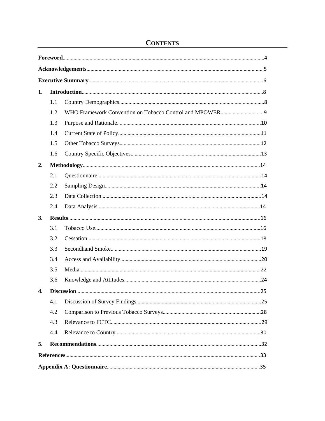| 1. |     |  |
|----|-----|--|
|    | 1.1 |  |
|    | 1.2 |  |
|    | 1.3 |  |
|    | 1.4 |  |
|    | 1.5 |  |
|    | 1.6 |  |
| 2. |     |  |
|    | 2.1 |  |
|    | 2.2 |  |
|    | 2.3 |  |
|    | 2.4 |  |
| 3. |     |  |
|    | 3.1 |  |
|    | 3.2 |  |
|    | 3.3 |  |
|    | 3.4 |  |
|    | 3.5 |  |
|    | 3.6 |  |
| 4. |     |  |
|    | 4.1 |  |
|    | 4.2 |  |
|    | 4.3 |  |
|    | 4.4 |  |
| 5. |     |  |
|    |     |  |
|    |     |  |

# **CONTENTS**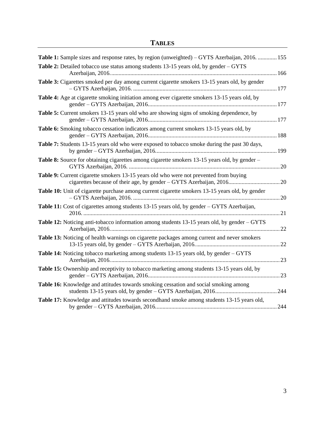| <b>TABLES</b> |  |
|---------------|--|
|---------------|--|

| Table 1: Sample sizes and response rates, by region (unweighted) - GYTS Azerbaijan, 2016.  155       |    |
|------------------------------------------------------------------------------------------------------|----|
| Table 2: Detailed tobacco use status among students 13-15 years old, by gender - GYTS                |    |
| Table 3: Cigarettes smoked per day among current cigarette smokers 13-15 years old, by gender        |    |
| Table 4: Age at cigarette smoking initiation among ever cigarette smokers 13-15 years old, by        |    |
| Table 5: Current smokers 13-15 years old who are showing signs of smoking dependence, by             |    |
| Table 6: Smoking tobacco cessation indicators among current smokers 13-15 years old, by              |    |
| Table 7: Students 13-15 years old who were exposed to tobacco smoke during the past 30 days,         |    |
| <b>Table 8:</b> Source for obtaining cigarettes among cigarette smokers 13-15 years old, by gender – |    |
| Table 9: Current cigarette smokers 13-15 years old who were not prevented from buying                |    |
| Table 10: Unit of cigarette purchase among current cigarette smokers 13-15 years old, by gender      |    |
| Table 11: Cost of cigarettes among students 13-15 years old, by gender - GYTS Azerbaijan,            |    |
| Table 12: Noticing anti-tobacco information among students 13-15 years old, by gender - GYTS         | 22 |
| Table 13: Noticing of health warnings on cigarette packages among current and never smokers          |    |
| Table 14: Noticing tobacco marketing among students 13-15 years old, by gender - GYTS                |    |
| <b>Table 15:</b> Ownership and receptivity to tobacco marketing among students 13-15 years old, by   |    |
| Table 16: Knowledge and attitudes towards smoking cessation and social smoking among                 |    |
| Table 17: Knowledge and attitudes towards secondhand smoke among students 13-15 years old,           |    |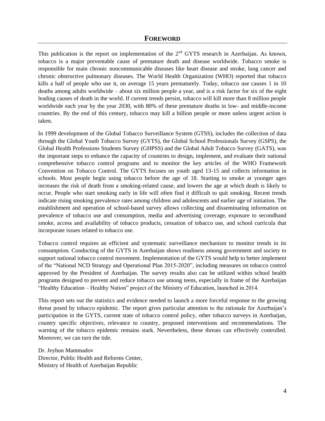#### **FOREWORD**

<span id="page-3-0"></span>This publication is the report on implementation of the  $2<sup>nd</sup> GYTS$  research in Azerbaijan. As known, tobacco is a major preventable cause of premature death and disease worldwide. Tobacco smoke is responsible for main chronic noncommunicable diseases like heart disease and stroke, lung cancer and chronic obstructive pulmonary diseases. The World Health Organization (WHO) reported that tobacco kills a half of people who use it, on average 15 years prematurely. Today, tobacco use causes 1 in 10 deaths among adults worldwide – about six million people a year, and is a risk factor for six of the eight leading causes of death in the world. If current trends persist, tobacco will kill more than 8 million people worldwide each year by the year 2030, with 80% of these premature deaths in low- and middle-income countries. By the end of this century, tobacco may kill a billion people or more unless urgent action is taken.

In 1999 development of the Global Tobacco Surveillance System (GTSS), includes the collection of data through the Global Youth Tobacco Survey (GYTS), the Global School Professionals Survey (GSPS), the Global Health Professions Students Survey (GHPSS) and the Global Adult Tobacco Survey (GATS), was the important steps to enhance the capacity of countries to design, implement, and evaluate their national comprehensive tobacco control programs and to monitor the key articles of the WHO Framework Convention on Tobacco Control. The GYTS focuses on youth aged 13-15 and collects information in schools. Most people begin using tobacco before the age of 18. Starting to smoke at younger ages increases the risk of death from a smoking-related cause, and lowers the age at which death is likely to occur. People who start smoking early in life will often find it difficult to quit smoking. Recent trends indicate rising smoking prevalence rates among children and adolescents and earlier age of initiation. The establishment and operation of school-based survey allows collecting and disseminating information on prevalence of tobacco use and consumption, media and advertising coverage, exposure to secondhand smoke, access and availability of tobacco products, cessation of tobacco use, and school curricula that incorporate issues related to tobacco use.

Tobacco control requires an efficient and systematic surveillance mechanism to monitor trends in its consumption. Conducting of the GYTS in Azerbaijan shows readiness among government and society to support national tobacco control movement. Implementation of the GYTS would help to better implement of the "National NCD Strategy and Operational Plan 2015-2020", including measures on tobacco control approved by the President of Azerbaijan. The survey results also can be utilized within school health programs designed to prevent and reduce tobacco use among teens, especially in frame of the Azerbaijan "Healthy Education – Healthy Nation" project of the Ministry of Education, launched in 2014.

This report sets out the statistics and evidence needed to launch a more forceful response to the growing threat posed by tobacco epidemic. The report gives particular attention to the rationale for Azerbaijan's participation in the GYTS, current state of tobacco control policy, other tobacco surveys in Azerbaijan, country specific objectives, relevance to country, proposed interventions and recommendations. The warning of the tobacco epidemic remains stark. Nevertheless, these threats can effectively controlled. Moreover, we can turn the tide.

Dr. Jeyhun Mammadov Director, Public Health and Reforms Center, Ministry of Health of Azerbaijan Republic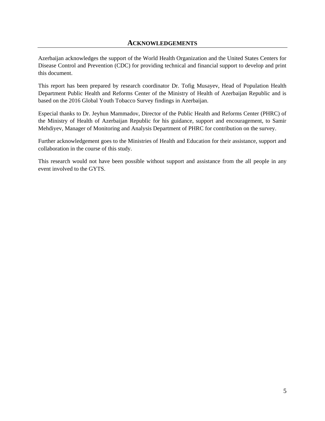<span id="page-4-0"></span>Azerbaijan acknowledges the support of the World Health Organization and the United States Centers for Disease Control and Prevention (CDC) for providing technical and financial support to develop and print this document.

This report has been prepared by research coordinator Dr. Tofig Musayev, Head of Population Health Department Public Health and Reforms Center of the Ministry of Health of Azerbaijan Republic and is based on the 2016 Global Youth Tobacco Survey findings in Azerbaijan.

Especial thanks to Dr. Jeyhun Mammadov, Director of the Public Health and Reforms Center (PHRC) of the Ministry of Health of Azerbaijan Republic for his guidance, support and encouragement, to Samir Mehdiyev, Manager of Monitoring and Analysis Department of PHRC for contribution on the survey.

Further acknowledgement goes to the Ministries of Health and Education for their assistance, support and collaboration in the course of this study.

This research would not have been possible without support and assistance from the all people in any event involved to the GYTS.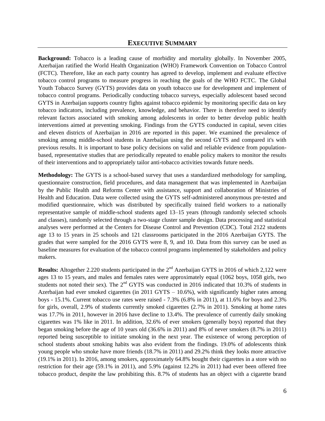<span id="page-5-0"></span>**Background:** Tobacco is a leading cause of morbidity and mortality globally. In November 2005, Azerbaijan ratified the World Health Organization (WHO) Framework Convention on Tobacco Control (FCTC). Therefore, like an each party country has agreed to develop, implement and evaluate effective tobacco control programs to measure progress in reaching the goals of the WHO FCTC. The Global Youth Tobacco Survey (GYTS) provides data on youth tobacco use for development and implement of tobacco control programs. Periodically conducting tobacco surveys, especially adolescent based second GYTS in Azerbaijan supports country fights against tobacco epidemic by monitoring specific data on key tobacco indicators, including prevalence, knowledge, and behavior. There is therefore need to identify relevant factors associated with smoking among adolescents in order to better develop public health interventions aimed at preventing smoking. Findings from the GYTS conducted in capital, seven cities and eleven districts of Azerbaijan in 2016 are reported in this paper. We examined the prevalence of smoking among middle-school students in Azerbaijan using the second GYTS and compared it's with previous results. It is important to base policy decisions on valid and reliable evidence from populationbased, representative studies that are periodically repeated to enable policy makers to monitor the results of their interventions and to appropriately tailor anti-tobacco activities towards future needs.

**Methodology:** The GYTS is a school-based survey that uses a standardized methodology for sampling, questionnaire construction, field procedures, and data management that was implemented in Azerbaijan by the Public Health and Reforms Center with assistance, support and collaboration of Ministries of Health and Education. Data were collected using the GYTS self-administered anonymous pre-tested and modified questionnaire, which was distributed by specifically trained field workers to a nationally representative sample of middle-school students aged 13–15 years (through randomly selected schools and classes), randomly selected through a two-stage cluster sample design. Data processing and statistical analyses were performed at the Centers for Disease Control and Prevention (CDC). Total 2122 students age 13 to 15 years in 25 schools and 121 classrooms participated in the 2016 Azerbaijan GYTS. The grades that were sampled for the 2016 GYTS were 8, 9, and 10. Data from this survey can be used as baseline measures for evaluation of the tobacco control programs implemented by stakeholders and policy makers.

**Results:** Altogether 2.220 students participated in the 2<sup>nd</sup> Azerbaijan GYTS in 2016 of which 2,122 were ages 13 to 15 years, and males and females rates were approximately equal (1062 boys, 1058 girls, two students not noted their sex). The  $2<sup>nd</sup> GYTS$  was conducted in 2016 indicated that 10.3% of students in Azerbaijan had ever smoked cigarettes (in 2011 GYTS – 10.6%), with significantly higher rates among boys - 15.1%. Current tobacco use rates were raised - 7.3% (6.8% in 2011), at 11.6% for boys and 2.3% for girls, overall, 2.9% of students currently smoked cigarettes (2.7% in 2011). Smoking at home rates was 17.7% in 2011, however in 2016 have decline to 13.4%. The prevalence of currently daily smoking cigarettes was 1% like in 2011. In addition, 32.6% of ever smokers (generally boys) reported that they began smoking before the age of 10 years old (36.6% in 2011) and 8% of never smokers (8.7% in 2011) reported being susceptible to initiate smoking in the next year. The existence of wrong perception of school students about smoking habits was also evident from the findings. 19.0% of adolescents think young people who smoke have more friends (18.7% in 2011) and 29.2% think they looks more attractive (19.1% in 2011). In 2016, among smokers, approximately 64.8% bought their cigarettes in a store with no restriction for their age (59.1% in 2011), and 5.9% (against 12.2% in 2011) had ever been offered free tobacco product, despite the law prohibiting this. 8.7% of students has an object with a cigarette brand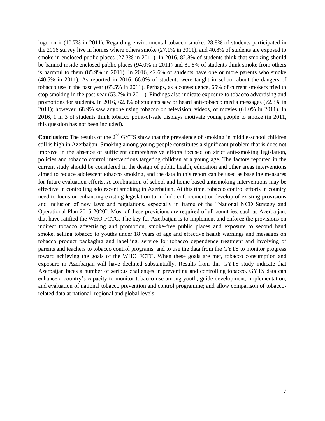logo on it (10.7% in 2011). Regarding environmental tobacco smoke, 28.8% of students participated in the 2016 survey live in homes where others smoke (27.1% in 2011), and 40.8% of students are exposed to smoke in enclosed public places (27.3% in 2011). In 2016, 82.8% of students think that smoking should be banned inside enclosed public places (94.0% in 2011) and 81.8% of students think smoke from others is harmful to them (85.9% in 2011). In 2016, 42.6% of students have one or more parents who smoke (40.5% in 2011). As reported in 2016, 66.0% of students were taught in school about the dangers of tobacco use in the past year (65.5% in 2011). Perhaps, as a consequence, 65% of current smokers tried to stop smoking in the past year (53.7% in 2011). Findings also indicate exposure to tobacco advertising and promotions for students. In 2016, 62.3% of students saw or heard anti-tobacco media messages (72.3% in 2011); however, 68.9% saw anyone using tobacco on television, videos, or movies (61.0% in 2011). In 2016, 1 in 3 of students think tobacco point-of-sale displays motivate young people to smoke (in 2011, this question has not been included).

**Conclusion:** The results of the 2<sup>nd</sup> GYTS show that the prevalence of smoking in middle-school children still is high in Azerbaijan. Smoking among young people constitutes a significant problem that is does not improve in the absence of sufficient comprehensive efforts focused on strict anti-smoking legislation, policies and tobacco control interventions targeting children at a young age. The factors reported in the current study should be considered in the design of public health, education and other areas interventions aimed to reduce adolescent tobacco smoking, and the data in this report can be used as baseline measures for future evaluation efforts. A combination of school and home based antismoking interventions may be effective in controlling adolescent smoking in Azerbaijan. At this time, tobacco control efforts in country need to focus on enhancing existing legislation to include enforcement or develop of existing provisions and inclusion of new laws and regulations, especially in frame of the "National NCD Strategy and Operational Plan 2015-2020". Most of these provisions are required of all countries, such as Azerbaijan, that have ratified the WHO FCTC. The key for Azerbaijan is to implement and enforce the provisions on indirect tobacco advertising and promotion, smoke-free public places and exposure to second hand smoke, selling tobacco to youths under 18 years of age and effective health warnings and messages on tobacco product packaging and labelling, service for tobacco dependence treatment and involving of parents and teachers to tobacco control programs, and to use the data from the GYTS to monitor progress toward achieving the goals of the WHO FCTC. When these goals are met, tobacco consumption and exposure in Azerbaijan will have declined substantially. Results from this GYTS study indicate that Azerbaijan faces a number of serious challenges in preventing and controlling tobacco. GYTS data can enhance a country's capacity to monitor tobacco use among youth, guide development, implementation, and evaluation of national tobacco prevention and control programme; and allow comparison of tobaccorelated data at national, regional and global levels.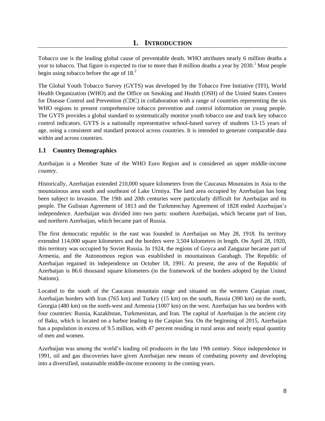<span id="page-7-0"></span>Tobacco use is the leading global cause of preventable death. WHO attributes nearly 6 million deaths a year to tobacco. That figure is expected to rise to more than 8 million deaths a year by  $2030$ .<sup>1</sup> Most people begin using tobacco before the age of  $18<sup>2</sup>$ .

The Global Youth Tobacco Survey (GYTS) was developed by the Tobacco Free Initiative (TFI), World Health Organization (WHO) and the Office on Smoking and Health (OSH) of the United States Centers for Disease Control and Prevention (CDC) in collaboration with a range of countries representing the six WHO regions to present comprehensive tobacco prevention and control information on young people. The GYTS provides a global standard to systematically monitor youth tobacco use and track key tobacco control indicators. GYTS is a nationally representative school-based survey of students 13-15 years of age, using a consistent and standard protocol across countries. It is intended to generate comparable data within and across countries.

#### <span id="page-7-1"></span>**1.1 Country Demographics**

Azerbaijan is a Member State of the WHO Euro Region and is considered an upper middle-income country.

Historically, Azerbaijan extended 210,000 square kilometers from the Caucasus Mountains in Asia to the mountainous area south and southeast of Lake Urmiya. The land area occupied by Azerbaijan has long been subject to invasion. The 19th and 20th centuries were particularly difficult for Azerbaijan and its people. The Gulistan Agreement of 1813 and the Turkmenchay Agreement of 1828 ended Azerbaijan's independence. Azerbaijan was divided into two parts: southern Azerbaijan, which became part of Iran, and northern Azerbaijan, which became part of Russia.

The first democratic republic in the east was founded in Azerbaijan on May 28, 1918. Its territory extended 114,000 square kilometers and the borders were 3,504 kilometers in length. On April 28, 1920, this territory was occupied by Soviet Russia. In 1924, the regions of Goyca and Zangazur became part of Armenia, and the Autonomous region was established in mountainous Garabagh. The Republic of Azerbaijan regained its independence on October 18, 1991. At present, the area of the Republic of Azerbaijan is 86.6 thousand square kilometers (in the framework of the borders adopted by the United Nations).

Located to the south of the Caucasus mountain range and situated on the western Caspian coast, Azerbaijan borders with Iran (765 km) and Turkey (15 km) on the south, Russia (390 km) on the north, Georgia (480 km) on the north-west and Armenia (1007 km) on the west. Azerbaijan has sea borders with four countries: Russia, Kazakhstan, Turkmenistan, and Iran. The capital of Azerbaijan is the ancient city of Baku, which is located on a harbor leading to the Caspian Sea. On the beginning of 2015, Azerbaijan has a population in excess of 9.5 million, with 47 percent residing in rural areas and nearly equal quantity of men and women.

Azerbaijan was among the world's leading oil producers in the late 19th century. Since independence in 1991, oil and gas discoveries have given Azerbaijan new means of combating poverty and developing into a diversified, sustainable middle-income economy in the coming years.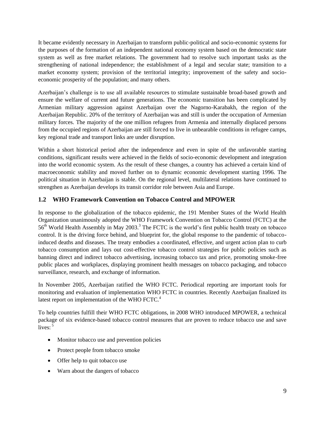It became evidently necessary in Azerbaijan to transform public-political and socio-economic systems for the purposes of the formation of an independent national economy system based on the democratic state system as well as free market relations. The government had to resolve such important tasks as the strengthening of national independence; the establishment of a legal and secular state; transition to a market economy system; provision of the territorial integrity; improvement of the safety and socioeconomic prosperity of the population; and many others.

Azerbaijan's challenge is to use all available resources to stimulate sustainable broad-based growth and ensure the welfare of current and future generations. The economic transition has been complicated by Armenian military aggression against Azerbaijan over the Nagorno-Karabakh, the region of the Azerbaijan Republic. 20% of the territory of Azerbaijan was and still is under the occupation of Armenian military forces. The majority of the one million refugees from Armenia and internally displaced persons from the occupied regions of Azerbaijan are still forced to live in unbearable conditions in refugee camps, key regional trade and transport links are under disruption.

Within a short historical period after the independence and even in spite of the unfavorable starting conditions, significant results were achieved in the fields of socio-economic development and integration into the world economic system. As the result of these changes, a country has achieved a certain kind of macroeconomic stability and moved further on to dynamic economic development starting 1996. The political situation in Azerbaijan is stable. On the regional level, multilateral relations have continued to strengthen as Azerbaijan develops its transit corridor role between Asia and Europe.

# <span id="page-8-0"></span>**1.2 WHO Framework Convention on Tobacco Control and MPOWER**

In response to the globalization of the tobacco epidemic, the 191 Member States of the World Health Organization unanimously adopted the WHO Framework Convention on Tobacco Control (FCTC) at the 56<sup>th</sup> World Health Assembly in May 2003.<sup>3</sup> The FCTC is the world's first public health treaty on tobacco control. It is the driving force behind, and blueprint for, the global response to the pandemic of tobaccoinduced deaths and diseases. The treaty embodies a coordinated, effective, and urgent action plan to curb tobacco consumption and lays out cost-effective tobacco control strategies for public policies such as banning direct and indirect tobacco advertising, increasing tobacco tax and price, promoting smoke-free public places and workplaces, displaying prominent health messages on tobacco packaging, and tobacco surveillance, research, and exchange of information.

In November 2005, Azerbaijan ratified the WHO FCTC. Periodical reporting are important tools for monitoring and evaluation of implementation WHO FCTC in countries. Recently Azerbaijan finalized its latest report on implementation of the WHO FCTC.<sup>4</sup>

To help countries fulfill their WHO FCTC obligations, in 2008 WHO introduced MPOWER, a technical package of six evidence-based tobacco control measures that are proven to reduce tobacco use and save lives:<sup>5</sup>

- Monitor tobacco use and prevention policies
- Protect people from tobacco smoke
- Offer help to quit tobacco use
- Warn about the dangers of tobacco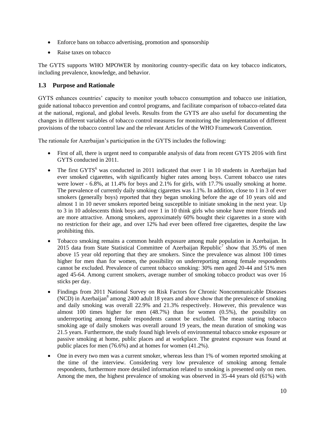- Enforce bans on tobacco advertising, promotion and sponsorship
- Raise taxes on tobacco

The GYTS supports WHO MPOWER by monitoring country-specific data on key tobacco indicators, including prevalence, knowledge, and behavior.

# <span id="page-9-0"></span>**1.3 Purpose and Rationale**

GYTS enhances countries' capacity to monitor youth tobacco consumption and tobacco use initiation, guide national tobacco prevention and control programs, and facilitate comparison of tobacco-related data at the national, regional, and global levels. Results from the GYTS are also useful for documenting the changes in different variables of tobacco control measures for monitoring the implementation of different provisions of the tobacco control law and the relevant Articles of the WHO Framework Convention.

The rationale for Azerbaijan's participation in the GYTS includes the following:

- First of all, there is urgent need to comparable analysis of data from recent GYTS 2016 with first GYTS conducted in 2011.
- The first  $GYTS<sup>6</sup>$  was conducted in 2011 indicated that over 1 in 10 students in Azerbaijan had ever smoked cigarettes, with significantly higher rates among boys. Current tobacco use rates were lower - 6.8%, at 11.4% for boys and 2.1% for girls, with 17.7% usually smoking at home. The prevalence of currently daily smoking cigarettes was 1.1%. In addition, close to 1 in 3 of ever smokers (generally boys) reported that they began smoking before the age of 10 years old and almost 1 in 10 never smokers reported being susceptible to initiate smoking in the next year. Up to 3 in 10 adolescents think boys and over 1 in 10 think girls who smoke have more friends and are more attractive. Among smokers, approximately 60% bought their cigarettes in a store with no restriction for their age, and over 12% had ever been offered free cigarettes, despite the law prohibiting this.
- Tobacco smoking remains a common health exposure among male population in Azerbaijan. In 2015 data from State Statistical Committee of Azerbaijan Republic<sup>7</sup> show that 35.9% of men above 15 year old reporting that they are smokers. Since the prevalence was almost 100 times higher for men than for women, the possibility on underreporting among female respondents cannot be excluded. Prevalence of current tobacco smoking: 30% men aged 20-44 and 51% men aged 45-64. Among current smokers, average number of smoking tobacco product was over 16 sticks per day.
- Findings from 2011 National Survey on Risk Factors for Chronic Noncommunicable Diseases  $(NCD)$  in Azerbaijan<sup>8</sup> among 2400 adult 18 years and above show that the prevalence of smoking and daily smoking was overall 22.9% and 21.3% respectively. However, this prevalence was almost 100 times higher for men (48.7%) than for women (0.5%), the possibility on underreporting among female respondents cannot be excluded. The mean starting tobacco smoking age of daily smokers was overall around 19 years, the mean duration of smoking was 21.5 years. Furthermore, the study found high levels of environmental tobacco smoke exposure or passive smoking at home, public places and at workplace. The greatest exposure was found at public places for men (76.6%) and at homes for women (41.2%).
- One in every two men was a current smoker, whereas less than 1% of women reported smoking at the time of the interview. Considering very low prevalence of smoking among female respondents, furthermore more detailed information related to smoking is presented only on men. Among the men, the highest prevalence of smoking was observed in 35-44 years old (61%) with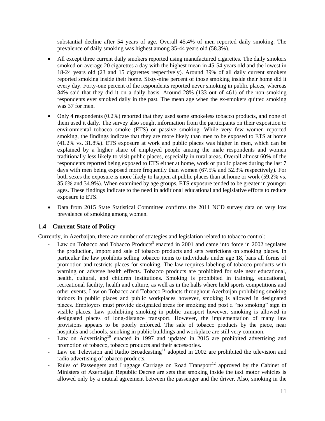substantial decline after 54 years of age. Overall 45.4% of men reported daily smoking. The prevalence of daily smoking was highest among 35-44 years old (58.3%).

- All except three current daily smokers reported using manufactured cigarettes. The daily smokers smoked on average 20 cigarettes a day with the highest mean in 45-54 years old and the lowest in 18-24 years old (23 and 15 cigarettes respectively). Around 39% of all daily current smokers reported smoking inside their home. Sixty-nine percent of those smoking inside their home did it every day. Forty-one percent of the respondents reported never smoking in public places, whereas 34% said that they did it on a daily basis. Around 28% (133 out of 461) of the non-smoking respondents ever smoked daily in the past. The mean age when the ex-smokers quitted smoking was 37 for men.
- Only 4 respondents (0.2%) reported that they used some smokeless tobacco products, and none of them used it daily. The survey also sought information from the participants on their exposition to environmental tobacco smoke (ETS) or passive smoking. While very few women reported smoking, the findings indicate that they are more likely than men to be exposed to ETS at home (41.2% vs. 31.8%). ETS exposure at work and public places was higher in men, which can be explained by a higher share of employed people among the male respondents and women traditionally less likely to visit public places, especially in rural areas. Overall almost 60% of the respondents reported being exposed to ETS either at home, work or public places during the last 7 days with men being exposed more frequently than women (67.5% and 52.3% respectively). For both sexes the exposure is more likely to happen at public places than at home or work (59.2% vs. 35.6% and 34.9%). When examined by age groups, ETS exposure tended to be greater in younger ages. These findings indicate to the need in additional educational and legislative efforts to reduce exposure to ETS.
- Data from 2015 State Statistical Committee confirms the 2011 NCD survey data on very low prevalence of smoking among women.

# <span id="page-10-0"></span>**1.4 Current State of Policy**

Currently, in Azerbaijan, there are number of strategies and legislation related to tobacco control:

- Law on Tobacco and Tobacco Products<sup>9</sup> enacted in 2001 and came into force in 2002 regulates the production, import and sale of tobacco products and sets restrictions on smoking places. In particular the law prohibits selling tobacco items to individuals under age 18, bans all forms of promotion and restricts places for smoking. The law requires labeling of tobacco products with warning on adverse health effects. Tobacco products are prohibited for sale near educational, health, cultural, and children institutions. Smoking is prohibited in training, educational, recreational facility, health and culture, as well as in the halls where held sports competitions and other events. Law on Tobacco and Tobacco Products throughout Azerbaijan prohibiting smoking indoors in public places and public workplaces however, smoking is allowed in designated places. Employers must provide designated areas for smoking and post a "no smoking" sign in visible places. Law prohibiting smoking in public transport however, smoking is allowed in designated places of long-distance transport. However, the implementation of many law provisions appears to be poorly enforced. The sale of tobacco products by the piece, near hospitals and schools, smoking in public buildings and workplace are still very common.
- Law on Advertising<sup>10</sup> enacted in 1997 and updated in 2015 are prohibited advertising and promotion of tobacco, tobacco products and their accessories.
- Law on Television and Radio Broadcasting<sup>11</sup> adopted in 2002 are prohibited the television and radio advertising of tobacco products.
- **-** Rules of Passengers and Luggage Carriage on Road Transport<sup>12</sup> approved by the Cabinet of Ministers of Azerbaijan Republic Decree are sets that smoking inside the taxi motor vehicles is allowed only by a mutual agreement between the passenger and the driver. Also, smoking in the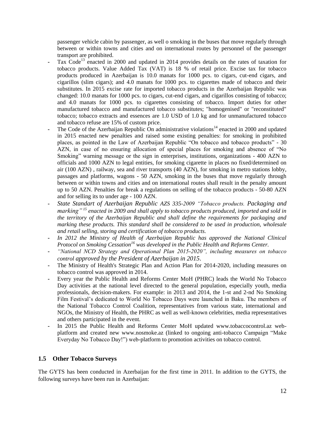passenger vehicle cabin by passenger, as well o smoking in the buses that move regularly through between or within towns and cities and on international routes by personnel of the passenger transport are prohibited.

- Tax Code<sup>13</sup> enacted in 2000 and updated in 2014 provides details on the rates of taxation for tobacco products. Value Added Tax (VAT) is 18 % of retail price. Excise tax for tobacco products produced in Azerbaijan is 10.0 manats for 1000 pcs. to cigars, cut-end cigars, and cigarillos (slim cigars); and 4.0 manats for 1000 pcs. to cigarettes made of tobacco and their substitutes. In 2015 excise rate for imported tobacco products in the Azerbaijan Republic was changed: 10.0 manats for 1000 pcs. to cigars, cut-end cigars, and cigarillos consisting of tobacco; and 4.0 manats for 1000 pcs. to cigarettes consisting of tobacco. Import duties for other manufactured tobacco and manufactured tobacco substitutes; "homogenised" or "reconstituted" tobacco; tobacco extracts and essences are 1.0 USD of 1.0 kg and for unmanufactured tobacco and tobacco refuse are 15% of custom price.
- The Code of the Azerbaijan Republic On administrative violations<sup>14</sup> enacted in 2000 and updated in 2015 enacted new penalties and raised some existing penalties: for smoking in prohibited places, as pointed in the Law of Azerbaijan Republic "On tobacco and tobacco products" - 30 AZN, in case of no ensuring allocation of special places for smoking and absence of "No Smoking" warning message or the sign in enterprises, institutions, organizations - 400 AZN to officials and 1000 AZN to legal entities, for smoking cigarette in places no fixed/determined on air (100 AZN) , railway, sea and river transports (40 AZN), for smoking in metro stations lobby, passages and platforms, wagons - 50 AZN, smoking in the buses that move regularly through between or within towns and cities and on international routes shall result in the penalty amount up to 50 AZN. Penalties for break a regulations on selling of the tobacco products - 50-80 AZN and for selling its to under age - 100 AZN.
- **-** *State Standart of Azerbaijan Republic AZS 335-2009 "Tobacco products. Packaging and marking" <sup>15</sup> enacted in 2009 and shall apply to tobacco products produced, imported and sold in the territory of the Azerbaijan Republic and shall define the requirements for packaging and marking these products. This standard shall be considered to be used in production, wholesale and retail selling, storing and certification of tobacco products.*
- **-** *In 2012 the Ministry of Health of Azerbaijan Republic has approved the National Clinical Protocol on Smoking Cessation<sup>16</sup> was developed in the Public Health and Reforms Center.*
- **-** *"National NCD Strategy and Operational Plan 2015-2020", including measures on tobacco control approved by the President of Azerbaijan in 2015*.
- **-** The Ministry of Health's Strategic Plan and Action Plan for 2014-2020, including measures on tobacco control was approved in 2014.
- **-** Every year the Public Health and Reforms Center MoH (PHRC) leads the World No Tobacco Day activities at the national level directed to the general population, especially youth, media professionals, decision-makers. For example: in 2013 and 2014, the 1-st and 2-nd No Smoking Film Festival's dedicated to World No Tobacco Days were launched in Baku. The members of the National Tobacco Control Coalition, representatives from various state, international and NGOs, the Ministry of Health, the PHRC as well as well-known celebrities, media representatives and others participated in the event.
- **-** In 2015 the Public Health and Reforms Center MoH updated www.tobaccocontrol.az webplatform and created new www.nosmoke.az (linked to ongoing anti-tobacco Campaign "Make Everyday No Tobacco Day!") web-platform to promotion activities on tobacco control.

#### <span id="page-11-0"></span>**1.5 Other Tobacco Surveys**

The GYTS has been conducted in Azerbaijan for the first time in 2011. In addition to the GYTS, the following surveys have been run in Azerbaijan: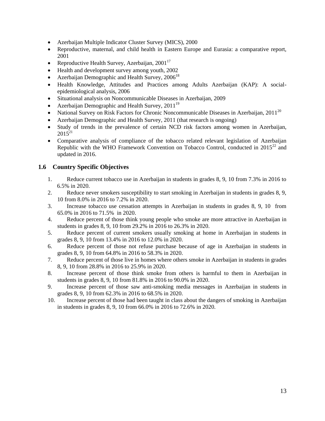- Azerbaijan Multiple Indicator Cluster Survey (MICS), 2000
- Reproductive, maternal, and child health in Eastern Europe and Eurasia: a comparative report, 2001
- Reproductive Health Survey, Azerbaijan,  $2001^{17}$
- Health and development survey among youth, 2002
- Azerbaijan Demographic and Health Survey,  $2006^{18}$
- Health Knowledge, Attitudes and Practices among Adults Azerbaijan (KAP): A socialepidemiological analysis, 2006
- Situational analysis on Noncommunicable Diseases in Azerbaijan, 2009
- Azerbaijan Demographic and Health Survey,  $2011^{19}$
- National Survey on Risk Factors for Chronic Noncommunicable Diseases in Azerbaijan,  $2011^{20}$
- Azerbaijan Demographic and Health Survey, 2011 (that research is ongoing)
- Study of trends in the prevalence of certain NCD risk factors among women in Azerbaijan,  $2015^{21}$
- Comparative analysis of compliance of the tobacco related relevant legislation of Azerbaijan Republic with the WHO Framework Convention on Tobacco Control, conducted in  $2015^{22}$  and updated in 2016.

#### <span id="page-12-0"></span>**1.6 Country Specific Objectives**

- 1. Reduce current tobacco use in Azerbaijan in students in grades 8, 9, 10 from 7.3% in 2016 to 6.5% in 2020.
- 2. Reduce never smokers susceptibility to start smoking in Azerbaijan in students in grades 8, 9, 10 from 8.0% in 2016 to 7.2% in 2020.
- 3. Increase tobacco use cessation attempts in Azerbaijan in students in grades 8, 9, 10 from 65.0% in 2016 to 71.5% in 2020.
- 4. Reduce percent of those think young people who smoke are more attractive in Azerbaijan in students in grades 8, 9, 10 from 29.2% in 2016 to 26.3% in 2020.
- 5. Reduce percent of current smokers usually smoking at home in Azerbaijan in students in grades 8, 9, 10 from 13.4% in 2016 to 12.0% in 2020.
- 6. Reduce percent of those not refuse purchase because of age in Azerbaijan in students in grades 8, 9, 10 from 64.8% in 2016 to 58.3% in 2020.
- 7. Reduce percent of those live in homes where others smoke in Azerbaijan in students in grades 8, 9, 10 from 28.8% in 2016 to 25.9% in 2020.
- 8. Increase percent of those think smoke from others is harmful to them in Azerbaijan in students in grades 8, 9, 10 from 81.8% in 2016 to 90.0% in 2020.
- 9. Increase percent of those saw anti-smoking media messages in Azerbaijan in students in grades 8, 9, 10 from 62.3% in 2016 to 68.5% in 2020.
- 10. Increase percent of those had been taught in class about the dangers of smoking in Azerbaijan in students in grades 8, 9, 10 from 66.0% in 2016 to 72.6% in 2020.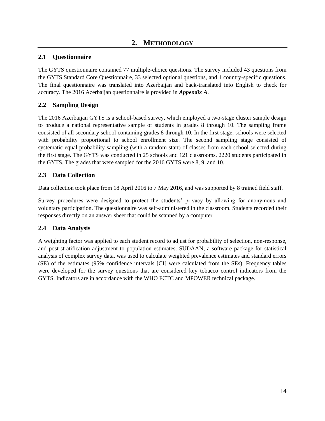# <span id="page-13-1"></span><span id="page-13-0"></span>**2.1 Questionnaire**

The GYTS questionnaire contained 77 multiple-choice questions. The survey included 43 questions from the GYTS Standard Core Questionnaire, 33 selected optional questions, and 1 country-specific questions. The final questionnaire was translated into Azerbaijan and back-translated into English to check for accuracy. The 2016 Azerbaijan questionnaire is provided in *Appendix A*.

# <span id="page-13-2"></span>**2.2 Sampling Design**

The 2016 Azerbaijan GYTS is a school-based survey, which employed a two-stage cluster sample design to produce a national representative sample of students in grades 8 through 10. The sampling frame consisted of all secondary school containing grades 8 through 10. In the first stage, schools were selected with probability proportional to school enrollment size. The second sampling stage consisted of systematic equal probability sampling (with a random start) of classes from each school selected during the first stage. The GYTS was conducted in 25 schools and 121 classrooms. 2220 students participated in the GYTS. The grades that were sampled for the 2016 GYTS were 8, 9, and 10.

# <span id="page-13-3"></span>**2.3 Data Collection**

Data collection took place from 18 April 2016 to 7 May 2016, and was supported by 8 trained field staff.

Survey procedures were designed to protect the students' privacy by allowing for anonymous and voluntary participation. The questionnaire was self-administered in the classroom. Students recorded their responses directly on an answer sheet that could be scanned by a computer.

# <span id="page-13-4"></span>**2.4 Data Analysis**

A weighting factor was applied to each student record to adjust for probability of selection, non-response, and post-stratification adjustment to population estimates. SUDAAN, a software package for statistical analysis of complex survey data, was used to calculate weighted prevalence estimates and standard errors (SE) of the estimates (95% confidence intervals [CI] were calculated from the SEs). Frequency tables were developed for the survey questions that are considered key tobacco control indicators from the GYTS. Indicators are in accordance with the WHO FCTC and MPOWER technical package.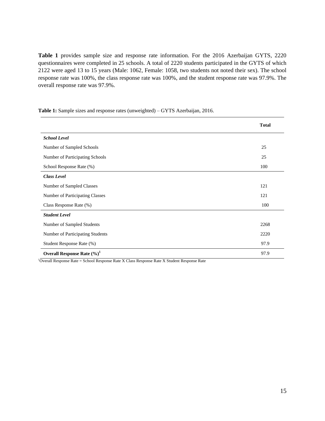**Table 1** provides sample size and response rate information. For the 2016 Azerbaijan GYTS, 2220 questionnaires were completed in 25 schools. A total of 2220 students participated in the GYTS of which 2122 were aged 13 to 15 years (Male: 1062, Female: 1058, two students not noted their sex). The school response rate was 100%, the class response rate was 100%, and the student response rate was 97.9%. The overall response rate was 97.9%.

<span id="page-14-0"></span>**Table 1:** Sample sizes and response rates (unweighted) – GYTS Azerbaijan, 2016.

|                                  | <b>Total</b> |
|----------------------------------|--------------|
| <b>School Level</b>              |              |
| Number of Sampled Schools        | 25           |
| Number of Participating Schools  | 25           |
| School Response Rate (%)         | 100          |
| <b>Class Level</b>               |              |
| Number of Sampled Classes        | 121          |
| Number of Participating Classes  | 121          |
| Class Response Rate (%)          | 100          |
| <b>Student Level</b>             |              |
| Number of Sampled Students       | 2268         |
| Number of Participating Students | 2220         |
| Student Response Rate (%)        | 97.9         |
| Overall Response Rate $(\%)^1$   | 97.9         |

<sup>1</sup>Overall Response Rate = School Response Rate X Class Response Rate X Student Response Rate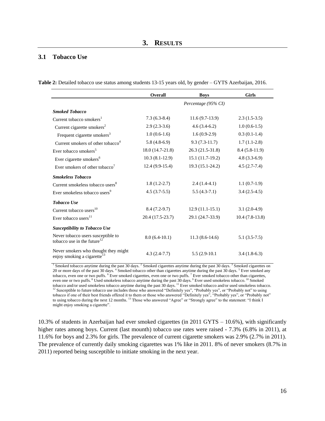#### <span id="page-15-1"></span><span id="page-15-0"></span>**3.1 Tobacco Use**

<span id="page-15-2"></span>

|  |  | Table 2: Detailed tobacco use status among students 13-15 years old, by gender - GYTS Azerbaijan, 2016. |
|--|--|---------------------------------------------------------------------------------------------------------|
|  |  |                                                                                                         |

|                                                                                 | Overall          | <b>Boys</b>         | <b>Girls</b>     |
|---------------------------------------------------------------------------------|------------------|---------------------|------------------|
|                                                                                 |                  | Percentage (95% CI) |                  |
| <b>Smoked Tobacco</b>                                                           |                  |                     |                  |
| Current tobacco smokers <sup>1</sup>                                            | $7.3(6.3-8.4)$   | $11.6(9.7-13.9)$    | $2.3(1.5-3.5)$   |
| Current cigarette smokers <sup>2</sup>                                          | $2.9(2.3-3.6)$   | $4.6(3.4-6.2)$      | $1.0(0.6-1.5)$   |
| Frequent cigarette smokers <sup>3</sup>                                         | $1.0(0.6-1.6)$   | $1.6(0.9-2.9)$      | $0.3(0.1-1.4)$   |
| Current smokers of other tobacco <sup>4</sup>                                   | $5.8(4.8-6.9)$   | $9.3(7.3-11.7)$     | $1.7(1.1-2.8)$   |
| Ever tobacco smokers <sup>5</sup>                                               | 18.0 (14.7-21.8) | 26.3 (21.5-31.8)    | $8.4(5.8-11.9)$  |
| Ever cigarette smokers <sup>6</sup>                                             | $10.3(8.1-12.9)$ | $15.1(11.7-19.2)$   | $4.8(3.3-6.9)$   |
| Ever smokers of other tobacco'                                                  | $12.4(9.9-15.4)$ | 19.3 (15.1-24.2)    | $4.5(2.7-7.4)$   |
| <b>Smokeless Tobacco</b>                                                        |                  |                     |                  |
| Current smokeless tobacco users <sup>8</sup>                                    | $1.8(1.2-2.7)$   | $2.4(1.4-4.1)$      | $1.1(0.7-1.9)$   |
| Ever smokeless tobacco users <sup>9</sup>                                       | $4.5(3.7-5.5)$   | $5.5(4.3-7.1)$      | $3.4(2.5-4.5)$   |
| <b>Tobacco Use</b>                                                              |                  |                     |                  |
| Current tobacco users <sup>10</sup>                                             | $8.4(7.2-9.7)$   | $12.9(11.1-15.1)$   | $3.1(2.0-4.9)$   |
| Ever tobacco users <sup>11</sup>                                                | 20.4 (17.5-23.7) | 29.1 (24.7-33.9)    | $10.4(7.8-13.8)$ |
| <b>Susceptibility to Tobacco Use</b>                                            |                  |                     |                  |
| Never tobacco users susceptible to<br>tobacco use in the future <sup>12</sup>   | $8.0(6.4-10.1)$  | $11.3(8.6-14.6)$    | $5.1(3.5-7.5)$   |
| Never smokers who thought they might<br>enjoy smoking a cigarette <sup>13</sup> | $4.3(2.4-7.7)$   | $5.5(2.9-10.1)$     | $3.4(1.8-6.3)$   |

<sup>1</sup> Smoked tobacco anytime during the past 30 days. <sup>2</sup> Smoked cigarettes anytime during the past 30 days. <sup>3</sup> Smoked cigarettes on 20 or more days of the past 30 days. <sup>4</sup> Smoked tobacco other than cigarettes anytime during the past 30 days. <sup>5</sup> Ever smoked any tobacco, even one or two puffs. <sup>6</sup> Ever smoked cigarettes, even one or two puffs. <sup>7</sup> Ever smoked tobacco other than cigarettes, even one or two puffs. <sup>8</sup> Used smokeless tobacco anytime during the past 30 days. <sup>9</sup> Ever used smokeless tobacco. <sup>10</sup> Smoked tobacco and/or used smokeless tobacco anytime during the past 30 days. <sup>11</sup> Ever smoked tobacco and/or used smokeless tobacco. <sup>12</sup> Susceptible to future tobacco use includes those who answered "Definitely yes", "Probably yes", or "Probably not" to using tobacco if one of their best friends offered it to them or those who answered "Definitely yes", "Probably yes", or "Probably not" to using tobacco during the next 12 months. <sup>13</sup> Those who answered "Agree" or "Strongly agree" to the statement: "I think I might enjoy smoking a cigarette".

<span id="page-15-3"></span>10.3% of students in Azerbaijan had ever smoked cigarettes (in 2011 GYTS – 10.6%), with significantly higher rates among boys. Current (last mounth) tobacco use rates were raised - 7.3% (6.8% in 2011), at 11.6% for boys and 2.3% for girls. The prevalence of current cigarette smokers was 2.9% (2.7% in 2011). The prevalence of currently daily smoking cigarettes was 1% like in 2011. 8% of never smokers (8.7% in 2011) reported being susceptible to initiate smoking in the next year.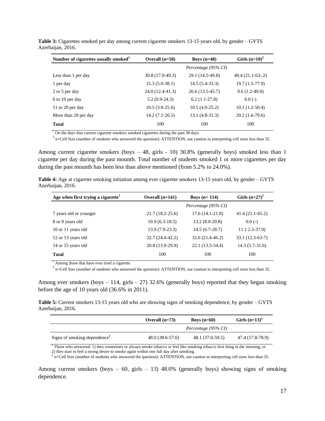| Number of cigarettes usually smoked <sup>1</sup> | Overall $(n=58)$ | Boys $(n=48)$       | Girls $(n=10)^2$  |
|--------------------------------------------------|------------------|---------------------|-------------------|
|                                                  |                  | Percentage (95% CI) |                   |
| Less than 1 per day                              | 30.8 (17.0-49.3) | 29.1 (14.5-49.8)    | $40.4(21.1-63-2)$ |
| 1 per day                                        | $15.3(5.0-38.1)$ | $14.5(5.4-33.3)$    | $19.7(1.5-77.9)$  |
| 2 to 5 per day                                   | 24.0 (12.4-41.3) | $26.6(13.5-45.7)$   | $9.6(1.2-49.0)$   |
| 6 to 10 per day                                  | $5.2(0.9-24.3)$  | $6.2(1.1-27.8)$     | $0.0(-)$          |
| 11 to 20 per day                                 | $10.5(3.8-25.6)$ | $10.5(4.0-25.2)$    | $10.1(1.2-50.4)$  |
| More than 20 per day                             | $14.2(7.1-26.5)$ | $13.1(4.8-31.3)$    | $20.2(1.6-79.6)$  |
| <b>Total</b>                                     | 100              | 100                 | 100               |

**Table 3:** Cigarettes smoked per day among current cigarette smokers 13-15 years old, by gender – GYTS Azerbaijan, 2016.

 $1$  On the days that current cigarette smokers smoked cigarettes during the past 30 days.

 $2$  n=Cell Size (number of students who answered the question): ATTENTION, use caution in interpreting cell sizes less than 35.

Among current cigarette smokers (boys – 48, girls - 10) 30.8% (generally boys) smoked less than 1 cigarette per day during the past mounth. Total number of students smoked 1 or more cigarettes per day during the past mounth has been less than above mentioned (from 5.2% to 24.0%).

<span id="page-16-0"></span>

| Table 4: Age at cigarette smoking initiation among ever cigarette smokers 13-15 years old, by gender – GYTS |  |  |  |
|-------------------------------------------------------------------------------------------------------------|--|--|--|
| Azerbaijan, 2016.                                                                                           |  |  |  |

| Age when first trying a cigarette <sup>1</sup> | Overall $(n=141)$   | Boys $(n=114)$      | Girls $(n=27)^2$  |
|------------------------------------------------|---------------------|---------------------|-------------------|
|                                                |                     | Percentage (95% CI) |                   |
| 7 years old or younger                         | $21.7(18.2 - 25.6)$ | $17.6(14.1-21.8)$   | $41.4(21.1-65.2)$ |
| 8 or 9 years old                               | $10.9(6.3-18.5)$    | $13.2(8.0-20.8)$    | $0.0(-)$          |
| 10 or 11 years old                             | $13.9(7.9-23.3)$    | $14.5(6.7-28.7)$    | $11.12.5 - 37.9$  |
| 12 or 13 years old                             | 32.7 (24.4-42.2)    | $32.6(21.4-46.2)$   | $33.1(12.3-63-7)$ |
| 14 or 15 years old                             | 20.8 (13.9-29.9)    | 22.1 (13.3-34.4)    | $14.3(5.7-31.6)$  |
| <b>Total</b>                                   | 100                 | 100                 | 100               |

<sup>1</sup> Among those that have ever tried a cigarette.

 $^2$  n=Cell Size (number of students who answered the question): ATTENTION, use caution in interpreting cell sizes less than 35.

Among ever smokers (boys  $-114$ , girls  $-27$ ) 32.6% (generally boys) reported that they began smoking before the age of 10 years old (36.6% in 2011).

<span id="page-16-1"></span>**Table 5:** Current smokers 13-15 years old who are showing signs of smoking dependence, by gender – GYTS Azerbaijan, 2016.

|                                    | Overall $(n=73)$  | Boys $(n=60)$       | Girls $(n=13)^2$ |
|------------------------------------|-------------------|---------------------|------------------|
|                                    |                   | Percentage (95% CI) |                  |
| Signs of smoking dependence $\ell$ | $48.0(38.6-57.6)$ | 48.1 (37.0-59.5)    | 47.4 (17.8-78.9) |

<sup>1</sup> Those who answered: 1) they sometimes or always smoke tobacco or feel like smoking tobacco first thing in the morning, or 2) they start to feel a strong desire to smoke again within one full day after smoking.<br> $\frac{2}{2}$  a Cell Size (number of students who encurant the question). ATTENTION use a

n=Cell Size (number of students who answered the question): ATTENTION, use caution in interpreting cell sizes less than 35.

Among current smokers (boys  $-60$ , girls  $-13$ ) 48.0% (generally boys) showing signs of smoking dependence.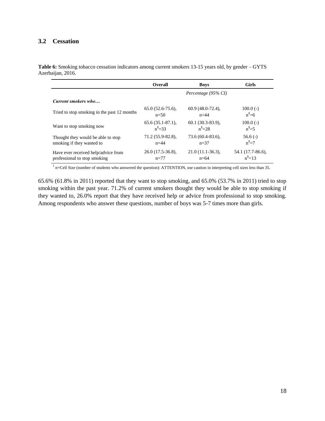#### <span id="page-17-0"></span>**3.2 Cessation**

<span id="page-17-1"></span>**Table 6:** Smoking tobacco cessation indicators among current smokers 13-15 years old, by gender – GYTS Azerbaijan, 2016.

|                                             | <b>Overall</b>        | <b>Boys</b>         | <b>Girls</b>      |
|---------------------------------------------|-----------------------|---------------------|-------------------|
|                                             |                       | Percentage (95% CI) |                   |
| Current smokers who                         |                       |                     |                   |
| Tried to stop smoking in the past 12 months | $65.0(52.6-75.6)$ ,   | $60.9(48.0-72.4)$ , | $100.0(-)$        |
|                                             | $n=50$                | $n=44$              | $n^1=6$           |
| Want to stop smoking now                    | $65.6(35.1-87.1)$ ,   | $60.1(30.3-83.9)$ , | $100.0(-)$        |
|                                             | $n^1 = 33$            | $n^1 = 28$          | $n^1 = 5$         |
| Thought they would be able to stop          | $71.2(55.9 - 82.8)$ , | $73.6(60.4-83.6)$ , | $56.6(-)$         |
| smoking if they wanted to                   | $n=44$                | $n=37$              | $n^1=7$           |
| Have ever received help/advice from         | $26.0(17.5-36.8)$ ,   | $21.0(11.1-36.3)$ , | 54.1 (17.7-86.6). |
| professional to stop smoking                | $n=77$                | $n=64$              | $n^1$ =13         |

 $<sup>1</sup>$  n=Cell Size (number of students who answered the question): ATTENTION, use caution in interpreting cell sizes less than 35.</sup>

65.6% (61.8% in 2011) reported that they want to stop smoking, and 65.0% (53.7% in 2011) tried to stop smoking within the past year. 71.2% of current smokers thought they would be able to stop smoking if they wanted to, 26.0% report that they have received help or advice from professional to stop smoking. Among respondents who answer these questions, number of boys was 5-7 times more than girls.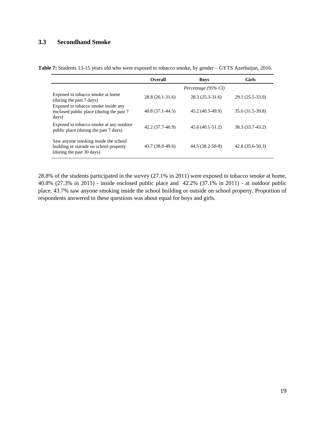# <span id="page-18-0"></span>**3.3 Secondhand Smoke**

<span id="page-18-1"></span>

|  |  |  | Table 7: Students 13-15 years old who were exposed to tobacco smoke, by gender - GYTS Azerbaijan, 2016. |  |
|--|--|--|---------------------------------------------------------------------------------------------------------|--|
|--|--|--|---------------------------------------------------------------------------------------------------------|--|

|                                                                                                             | <b>Overall</b>    | <b>Boys</b>         | <b>Girls</b>      |
|-------------------------------------------------------------------------------------------------------------|-------------------|---------------------|-------------------|
|                                                                                                             |                   | Percentage (95% CI) |                   |
| Exposed to tobacco smoke at home<br>(during the past 7 days)                                                | $28.8(26.1-31.6)$ | $28.3(25.3-31.6)$   | 29.1 (25.5-33.0)  |
| Exposed to tobacco smoke inside any<br>enclosed public place (during the past 7<br>days)                    | $40.8(37.1-44.5)$ | 45.2 (40.5-49.9)    | 35.6 (31.5-39.8)  |
| Exposed to tobacco smoke at any outdoor<br>public place (during the past 7 days)                            | 42.2 (37.7-46.9)  | $45.6(40.1-51.2)$   | 38.3 (33.7-43.2)  |
| Saw anyone smoking inside the school<br>building or outside on school property<br>(during the past 30 days) | 43.7 (38.0-49.6)  | 44.5 (38.2-50-8)    | $42.8(35.6-50.3)$ |

28.8% of the students participated in the survey (27.1% in 2011) were exposed to tobacco smoke at home, 40.8% (27.3% in 2011) - inside enclosed public place and 42.2% (37.1% in 2011) - at outdoor public place. 43.7% saw anyone smoking inside the school building or outside on school property. Proportion of respondents answered to these questions was about equal for boys and girls.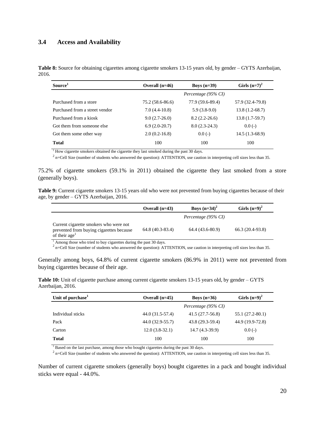#### <span id="page-19-0"></span>**3.4 Access and Availability**

<span id="page-19-1"></span>**Table 8:** Source for obtaining cigarettes among cigarette smokers 13-15 years old, by gender – GYTS Azerbaijan, 2016.

| Source <sup>1</sup>            | Overall $(n=46)$ | Boys $(n=39)$       | Girls $(n=7)^2$  |
|--------------------------------|------------------|---------------------|------------------|
|                                |                  | Percentage (95% CI) |                  |
| Purchased from a store         | 75.2 (58.6-86.6) | 77.9 (59.6-89.4)    | 57.9 (32.4-79.8) |
| Purchased from a street vendor | $7.0(4.4-10.8)$  | $5.9(3.8-9.0)$      | $13.8(1.2-68.7)$ |
| Purchased from a kiosk         | $9.0(2.7-26.0)$  | $8.2(2.2-26.6)$     | $13.8(1.7-59.7)$ |
| Got them from someone else     | $6.9(2.0-20.7)$  | $8.0(2.3-24.3)$     | $0.0(-)$         |
| Got them some other way        | $2.0(0.2-16.8)$  | $0.0(-)$            | 14.5 (1.3-68.9)  |
| <b>Total</b>                   | 100              | 100                 | 100              |

<sup>1</sup> How cigarette smokers obtained the cigarette they last smoked during the past 30 days.

 $^2$  n=Cell Size (number of students who answered the question): ATTENTION, use caution in interpreting cell sizes less than 35.

75.2% of cigarette smokers (59.1% in 2011) obtained the cigarette they last smoked from a store (generally boys).

<span id="page-19-2"></span>**Table 9:** Current cigarette smokers 13-15 years old who were not prevented from buying cigarettes because of their age, by gender – GYTS Azerbaijan, 2016.

|                                                                                                                 | Overall $(n=43)$  | Boys $(n=34)^2$     | Girls $(n=9)^2$  |
|-----------------------------------------------------------------------------------------------------------------|-------------------|---------------------|------------------|
|                                                                                                                 |                   | Percentage (95% CI) |                  |
| Current cigarette smokers who were not<br>prevented from buying cigarettes because<br>of their age <sup>1</sup> | $64.8(40.3-83.4)$ | 64.4 (43.6-80.9)    | 66.3 (20.4-93.8) |

<sup>1</sup> Among those who tried to buy cigarettes during the past 30 days.

 $^2$  n=Cell Size (number of students who answered the question): ATTENTION, use caution in interpreting cell sizes less than 35.

Generally among boys, 64.8% of current cigarette smokers (86.9% in 2011) were not prevented from buying cigarettes because of their age.

<span id="page-19-3"></span>**Table 10:** Unit of cigarette purchase among current cigarette smokers 13-15 years old, by gender – GYTS Azerbaijan, 2016.

| Unit of purchase <sup>1</sup> | Overall $(n=45)$<br>Boys $(n=36)$ |                     | Girls $(n=9)^2$  |  |
|-------------------------------|-----------------------------------|---------------------|------------------|--|
|                               |                                   | Percentage (95% CI) |                  |  |
| Individual sticks             | 44.0 (31.5-57.4)                  | 41.5 (27.7-56.8)    | 55.1 (27.2-80.1) |  |
| Pack                          | 44.0 (32.9-55.7)                  | 43.8 (29.3-59.4)    | 44.9 (19.9-72.8) |  |
| Carton                        | $12.0(3.8-32.1)$                  | $14.7(4.3-39.9)$    | $0.0(-)$         |  |
| <b>Total</b>                  | 100                               | 100                 | 100              |  |

<sup>1</sup> Based on the last purchase, among those who bought cigarettes during the past 30 days.

 $2$  n=Cell Size (number of students who answered the question): ATTENTION, use caution in interpreting cell sizes less than 35.

Number of current cigarette smokers (generally boys) bought cigarettes in a pack and bought individual sticks were equal - 44.0%.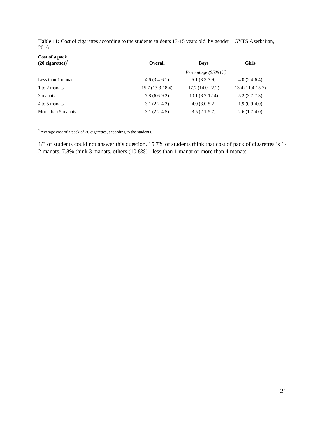| Cost of a pack                 |                   |                     |                   |
|--------------------------------|-------------------|---------------------|-------------------|
| $(20$ cigarettes) <sup>1</sup> | <b>Overall</b>    | <b>Boys</b>         | <b>Girls</b>      |
|                                |                   | Percentage (95% CI) |                   |
| Less than 1 manat              | $4.6(3.4-6.1)$    | $5.1(3.3-7.9)$      | $4.0(2.4-6.4)$    |
| 1 to 2 manats                  | $15.7(13.3-18.4)$ | $17.7(14.0-22.2)$   | $13.4(11.4-15.7)$ |
| 3 manats                       | $7.8(6.6-9.2)$    | $10.1(8.2-12.4)$    | $5.2(3.7-7.3)$    |
| 4 to 5 manats                  | $3.1(2.2-4.3)$    | $4.0(3.0-5.2)$      | $1.9(0.9-4.0)$    |
| More than 5 manats             | $3.1(2.2-4.5)$    | $3.5(2.1-5.7)$      | $2.6(1.7-4.0)$    |

<span id="page-20-0"></span>**Table 11:** Cost of cigarettes according to the students students 13-15 years old, by gender – GYTS Azerbaijan, 2016.

**<sup>1</sup>**Average cost of a pack of 20 cigarettes, according to the students.

1/3 of students could not answer this question. 15.7% of students think that cost of pack of cigarettes is 1- 2 manats, 7.8% think 3 manats, others (10.8%) - less than 1 manat or more than 4 manats.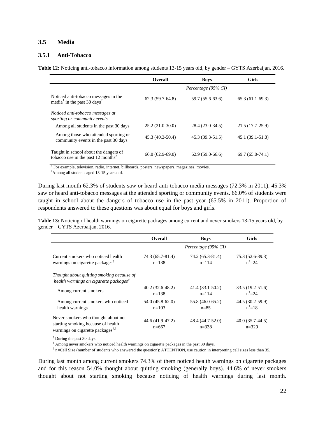#### <span id="page-21-0"></span>**3.5 Media**

#### **3.5.1 Anti-Tobacco**

<span id="page-21-1"></span>**Table 12:** Noticing anti-tobacco information among students 13-15 years old, by gender – GYTS Azerbaijan, 2016.

|                                                                                             | Overall           | <b>Boys</b>         | <b>Girls</b>      |
|---------------------------------------------------------------------------------------------|-------------------|---------------------|-------------------|
|                                                                                             |                   | Percentage (95% CI) |                   |
| Noticed anti-tobacco messages in the<br>media <sup>1</sup> in the past 30 days <sup>2</sup> | $62.3(59.7-64.8)$ | 59.7 (55.6-63.6)    | $65.3(61.1-69.3)$ |
| Noticed anti-tobacco messages at<br>sporting or community events                            |                   |                     |                   |
| Among all students in the past 30 days                                                      | $25.2(21.0-30.0)$ | 28.4 (23.0-34.5)    | 21.5 (17.7-25.9)  |
| Among those who attended sporting or<br>community events in the past 30 days                | 45.3 (40.3-50.4)  | $45.3(39.3-51.5)$   | $45.1(39.1-51.8)$ |
| Taught in school about the dangers of<br>tobacco use in the past 12 months <sup>2</sup>     | $66.0(62.9-69.0)$ | $62.9(59.0-66.6)$   | $69.7(65.0-74.1)$ |

<sup>1</sup> For example, television, radio, internet, billboards, posters, newspapers, magazines, movies.

<sup>2</sup>Among all students aged 13-15 years old.

During last month 62.3% of students saw or heard anti-tobacco media messages (72.3% in 2011), 45.3% saw or heard anti-tobacco messages at the attended sporting or community events. 66.0% of students were taught in school about the dangers of tobacco use in the past year (65.5% in 2011). Proportion of respondents answered to these questions was about equal for boys and girls.

<span id="page-21-2"></span>**Table 13:** Noticing of health warnings on cigarette packages among current and never smokers 13-15 years old, by gender – GYTS Azerbaijan, 2016.

|                                                                                                                                               | <b>Overall</b>                 | <b>Boys</b>                    | <b>Girls</b>                   |
|-----------------------------------------------------------------------------------------------------------------------------------------------|--------------------------------|--------------------------------|--------------------------------|
|                                                                                                                                               |                                | Percentage (95% CI)            |                                |
| Current smokers who noticed health<br>warnings on cigarette packages <sup>†</sup>                                                             | 74.3 (65.7-81.4)<br>$n = 138$  | 74.2 (65.3-81.4)<br>$n = 114$  | 75.3 (52.6-89.3)<br>$n^2 = 24$ |
| Thought about quitting smoking because of<br>health warnings on cigarette packages <sup>†</sup>                                               |                                |                                |                                |
| Among current smokers                                                                                                                         | $40.2(32.6-48.2)$<br>$n = 138$ | $41.4(33.1-50.2)$<br>$n = 114$ | 33.5 (19.2-51.6)<br>$n^2 = 24$ |
| Among current smokers who noticed<br>health warnings                                                                                          | 54.0 (45.8-62.0)<br>$n=103$    | 55.8 (46.0-65.2)<br>$n = 8.5$  | 44.5 (30.2-59.9)<br>$n^2$ =18  |
| Never smokers who thought about not<br>starting smoking because of health<br>warnings on cigarette packages <sup><math>\dagger</math>,1</sup> | 44.6 (41.9-47.2)<br>$n=667$    | 48.4 (44.7-52.0)<br>$n = 338$  | $40.0(35.7-44.5)$<br>$n=329$   |

† During the past 30 days.

 $1$  Among never smokers who noticed health warnings on cigarette packages in the past 30 days.

 $2$  n=Cell Size (number of students who answered the question): ATTENTION, use caution in interpreting cell sizes less than 35.

During last month among current smokers 74.3% of them noticed health warnings on cigarette packages and for this reason 54.0% thought about quitting smoking (generally boys). 44.6% of never smokers thought about not starting smoking because noticing of health warnings during last month.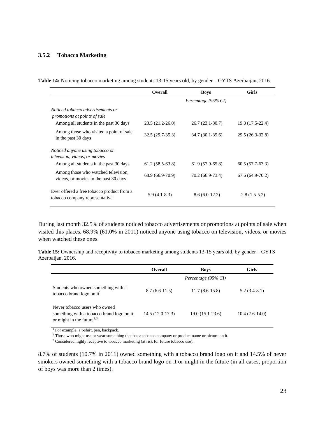#### **3.5.2 Tobacco Marketing**

<span id="page-22-0"></span>

|  |  |  |  |  | Table 14: Noticing tobacco marketing among students 13-15 years old, by gender - GYTS Azerbaijan, 2016. |
|--|--|--|--|--|---------------------------------------------------------------------------------------------------------|
|--|--|--|--|--|---------------------------------------------------------------------------------------------------------|

|                                                                              | <b>Overall</b>      | <b>Boys</b>         | <b>Girls</b>      |
|------------------------------------------------------------------------------|---------------------|---------------------|-------------------|
|                                                                              |                     | Percentage (95% CI) |                   |
| Noticed tobacco advertisements or<br>promotions at points of sale            |                     |                     |                   |
| Among all students in the past 30 days                                       | $23.5(21.2 - 26.0)$ | 26.7 (23.1-30.7)    | 19.8 (17.5-22.4)  |
| Among those who visited a point of sale.<br>in the past 30 days              | $32.5(29.7-35.3)$   | 34.7 (30.1-39.6)    | 29.5 (26.3-32.8)  |
| Noticed anyone using tobacco on<br><i>television, videos, or movies</i>      |                     |                     |                   |
| Among all students in the past 30 days                                       | $61.2(58.5-63.8)$   | $61.9(57.9-65.8)$   | $60.5(57.7-63.3)$ |
| Among those who watched television,<br>videos, or movies in the past 30 days | 68.9 (66.9-70.9)    | 70.2 (66.9-73.4)    | $67.6(64.9-70.2)$ |
| Ever offered a free tobacco product from a<br>tobacco company representative | $5.9(4.1-8.3)$      | $8.6(6.0-12.2)$     | $2.8(1.5-5.2)$    |

During last month 32.5% of students noticed tobacco advertisements or promotions at points of sale when visited this places, 68.9% (61.0% in 2011) noticed anyone using tobacco on television, videos, or movies when watched these ones.

<span id="page-22-1"></span>**Table 15:** Ownership and receptivity to tobacco marketing among students 13-15 years old, by gender – GYTS Azerbaijan, 2016.

|                                                                                                                     | <b>Overall</b>    | <b>Boys</b>         | Girls            |
|---------------------------------------------------------------------------------------------------------------------|-------------------|---------------------|------------------|
|                                                                                                                     |                   | Percentage (95% CI) |                  |
| Students who owned something with a<br>tobacco brand logo on it <sup>1</sup>                                        | $8.7(6.6-11.5)$   | $11.7(8.6-15.8)$    | $5.2(3.4-8.1)$   |
| Never tobacco users who owned<br>something with a tobacco brand logo on it<br>or might in the future <sup>2,3</sup> | $14.5(12.0-17.3)$ | $19.0(15.1-23.6)$   | $10.4(7.6-14.0)$ |

<sup>1</sup> For example, a t-shirt, pen, backpack.

<sup>2</sup> Those who might use or wear something that has a tobacco company or product name or picture on it.

<sup>3</sup> Considered highly receptive to tobacco marketing (at risk for future tobacco use).

8.7% of students (10.7% in 2011) owned something with a tobacco brand logo on it and 14.5% of never smokers owned something with a tobacco brand logo on it or might in the future (in all cases, proportion of boys was more than 2 times).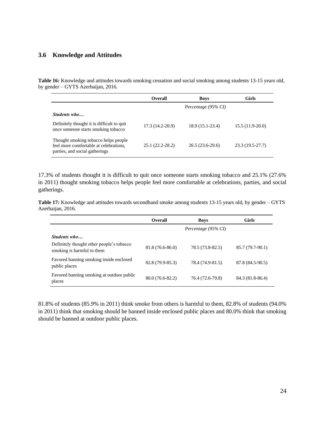#### <span id="page-23-0"></span>**3.6 Knowledge and Attitudes**

<span id="page-23-1"></span>**Table 16:** Knowledge and attitudes towards smoking cessation and social smoking among students 13-15 years old, by gender – GYTS Azerbaijan, 2016.

|                                                                                                                  | <b>Overall</b>    | <b>Boys</b>         | Girls             |
|------------------------------------------------------------------------------------------------------------------|-------------------|---------------------|-------------------|
|                                                                                                                  |                   | Percentage (95% CI) |                   |
| Students who                                                                                                     |                   |                     |                   |
| Definitely thought it is difficult to quit<br>once someone starts smoking tobacco                                | $17.3(14.2-20.9)$ | 18.9 (15.1-23.4)    | $15.5(11.9-20.0)$ |
| Thought smoking tobacco helps people<br>feel more comfortable at celebrations,<br>parties, and social gatherings | 25.1 (22.2-28.2)  | $26.5(23.6-29.6)$   | 23.3 (19.5-27.7)  |

17.3% of students thought it is difficult to quit once someone starts smoking tobacco and 25.1% (27.6% in 2011) thought smoking tobacco helps people feel more comfortable at celebrations, parties, and social gatherings.

<span id="page-23-2"></span>**Table 17:** Knowledge and attitudes towards secondhand smoke among students 13-15 years old, by gender – GYTS Azerbaijan, 2016.

|                                                                         | <b>Overall</b>   | <b>Boys</b>         | <b>Girls</b>     |
|-------------------------------------------------------------------------|------------------|---------------------|------------------|
|                                                                         |                  | Percentage (95% CI) |                  |
| Students who                                                            |                  |                     |                  |
| Definitely thought other people's tobacco<br>smoking is harmful to them | 81.8 (76.6-86.0) | 78.5 (73.8-82.5)    | 85.7 (79.7-90.1) |
| Favored banning smoking inside enclosed<br>public places                | 82.8 (79.9-85.3) | 78.4 (74.9-81.5)    | 87.8 (84.5-90.5) |
| Favored banning smoking at outdoor public<br>places                     | 80.0 (76.6-82.2) | 76.4 (72.6-79.8)    | 84.3 (81.8-86.4) |

81.8% of students (85.9% in 2011) think smoke from others is harmful to them, 82.8% of students (94.0% in 2011) think that smoking should be banned inside enclosed public places and 80.0% think that smoking should be banned at outdoor public places.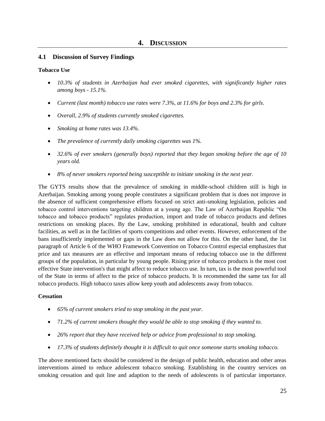#### <span id="page-24-1"></span><span id="page-24-0"></span>**4.1 Discussion of Survey Findings**

#### **Tobacco Use**

- *10.3% of students in Azerbaijan had ever smoked cigarettes, with significantly higher rates among boys - 15.1%.*
- *Current (last month) tobacco use rates were 7.3%, at 11.6% for boys and 2.3% for girls.*
- *Overall, 2.9% of students currently smoked cigarettes.*
- *Smoking at home rates was 13.4%.*
- *The prevalence of currently daily smoking cigarettes was 1%.*
- *32.6% of ever smokers (generally boys) reported that they began smoking before the age of 10 years old.*
- *8% of never smokers reported being susceptible to initiate smoking in the next year.*

The GYTS results show that the prevalence of smoking in middle-school children still is high in Azerbaijan. Smoking among young people constitutes a significant problem that is does not improve in the absence of sufficient comprehensive efforts focused on strict anti-smoking legislation, policies and tobacco control interventions targeting children at a young age. The Law of Azerbaijan Republic "On tobacco and tobacco products" regulates production, import and trade of tobacco products and defines restrictions on smoking places. By the Law, smoking prohibited in educational, health and culture facilities, as well as in the facilities of sports competitions and other events. However, enforcement of the bans insufficiently implemented or gaps in the Law does not allow for this. On the other hand, the 1st paragraph of Article 6 of the WHO Framework Convention on Tobacco Control especial emphasizes that price and tax measures are an effective and important means of reducing tobacco use in the different groups of the population, in particular by young people. Rising price of tobacco products is the most cost effective State intervention's that might affect to reduce tobacco use. In turn, tax is the most powerful tool of the State in terms of affect to the price of tobacco products. It is recommended the same tax for all tobacco products. High tobacco taxes allow keep youth and adolescents away from tobacco.

#### **Cessation**

- *65% of current smokers tried to stop smoking in the past year.*
- *71.2% of current smokers thought they would be able to stop smoking if they wanted to.*
- *26% report that they have received help or advice from professional to stop smoking.*
- *17.3% of students definitely thought it is difficult to quit once someone starts smoking tobacco.*

The above mentioned facts should be considered in the design of public health, education and other areas interventions aimed to reduce adolescent tobacco smoking. Establishing in the country services on smoking cessation and quit line and adaption to the needs of adolescents is of particular importance.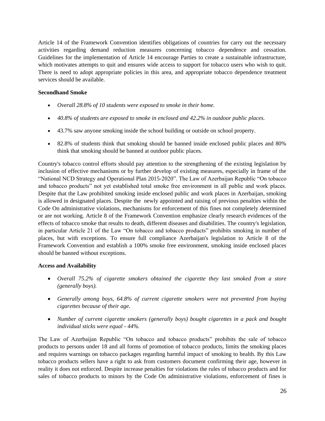Article 14 of the Framework Convention identifies obligations of countries for carry out the necessary activities regarding demand reduction measures concerning tobacco dependence and cessation. Guidelines for the implementation of Article 14 encourage Parties to create a sustainable infrastructure, which motivates attempts to quit and ensures wide access to support for tobacco users who wish to quit. There is need to adopt appropriate policies in this area, and appropriate tobacco dependence treatment services should be available.

#### **Secondhand Smoke**

- *Overall 28.8% of 10 students were exposed to smoke in their home.*
- *40.8% of students are exposed to smoke in enclosed and 42.2% in outdoor public places.*
- 43.7% saw anyone smoking inside the school building or outside on school property.
- 82.8% of students think that smoking should be banned inside enclosed public places and 80% think that smoking should be banned at outdoor public places*.*

Country's tobacco control efforts should pay attention to the strengthening of the existing legislation by inclusion of effective mechanisms or by further develop of existing measures, especially in frame of the "National NCD Strategy and Operational Plan 2015-2020". The Law of Azerbaijan Republic "On tobacco and tobacco products" not yet established total smoke free environment in all public and work places. Despite that the Law prohibited smoking inside enclosed public and work places in Azerbaijan, smoking is allowed in designated places. Despite the newly appointed and raising of previous penalties within the Code On administrative violations, mechanisms for enforcement of this fines not completely determined or are not working. Article 8 of the Framework Convention emphasize clearly research evidences of the effects of tobacco smoke that results to death, different diseases and disabilities. The country's legislation, in particular Article 21 of the Law "On tobacco and tobacco products" prohibits smoking in number of places, but with exceptions. To ensure full compliance Azerbaijan's legislation to Article 8 of the Framework Convention and establish a 100% smoke free environment, smoking inside enclosed places should be banned without exceptions.

#### **Access and Availability**

- *Overall 75.2% of cigarette smokers obtained the cigarette they last smoked from a store (generally boys).*
- *Generally among boys, 64.8% of current cigarette smokers were not prevented from buying cigarettes because of their age.*
- *Number of current cigarette smokers (generally boys) bought cigarettes in a pack and bought individual sticks were equal - 44%.*

The Law of Azerbaijan Republic "On tobacco and tobacco products" prohibits the sale of tobacco products to persons under 18 and all forms of promotion of tobacco products, limits the smoking places and requires warnings on tobacco packages regarding harmful impact of smoking to health. By this Law tobacco products sellers have a right to ask from customers document confirming their age, however in reality it does not enforced. Despite increase penalties for violations the rules of tobacco products and for sales of tobacco products to minors by the Code On administrative violations, enforcement of fines is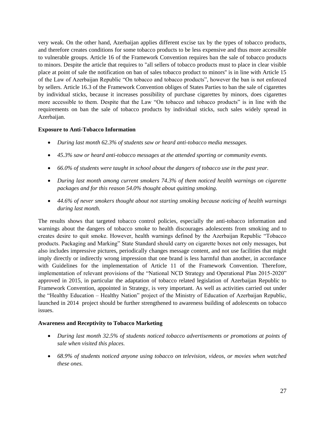very weak. On the other hand, Azerbaijan applies different excise tax by the types of tobacco products, and therefore creates conditions for some tobacco products to be less expensive and thus more accessible to vulnerable groups. Article 16 of the Framework Convention requires ban the sale of tobacco products to minors. Despite the article that requires to "all sellers of tobacco products must to place in clear visible place at point of sale the notification on ban of sales tobacco product to minors'' is in line with Article 15 of the Law of Azerbaijan Republic "On tobacco and tobacco products", however the ban is not enforced by sellers. Article 16.3 of the Framework Convention obliges of States Parties to ban the sale of cigarettes by individual sticks, because it increases possibility of purchase cigarettes by minors, does cigarettes more accessible to them. Despite that the Law "On tobacco and tobacco products" is in line with the requirements on ban the sale of tobacco products by individual sticks, such sales widely spread in Azerbaijan.

#### **Exposure to Anti-Tobacco Information**

- *During last month 62.3% of students saw or heard anti-tobacco media messages.*
- *45.3% saw or heard anti-tobacco messages at the attended sporting or community events.*
- *66.0% of students were taught in school about the dangers of tobacco use in the past year.*
- *During last month among current smokers 74.3% of them noticed health warnings on cigarette packages and for this reason 54.0% thought about quitting smoking.*
- *44.6% of never smokers thought about not starting smoking because noticing of health warnings during last month.*

The results shows that targeted tobacco control policies, especially the anti-tobacco information and warnings about the dangers of tobacco smoke to health discourages adolescents from smoking and to creates desire to quit smoke. However, health warnings defined by the Azerbaijan Republic "Tobacco products. Packaging and Marking" State Standard should carry on cigarette boxes not only messages, but also includes impressive pictures, periodically changes message content, and not use facilities that might imply directly or indirectly wrong impression that one brand is less harmful than another, in accordance with Guidelines for the implementation of Article 11 of the Framework Convention. Therefore, implementation of relevant provisions of the "National NCD Strategy and Operational Plan 2015-2020" approved in 2015, in particular the adaptation of tobacco related legislation of Azerbaijan Republic to Framework Convention, appointed in Strategy, is very important. As well as activities carried out under the "Healthy Education – Healthy Nation" project of the Ministry of Education of Azerbaijan Republic, launched in 2014 project should be further strengthened to awareness building of adolescents on tobacco issues.

#### **Awareness and Receptivity to Tobacco Marketing**

- *During last month 32.5% of students noticed tobacco advertisements or promotions at points of sale when visited this places.*
- *68.9% of students noticed anyone using tobacco on television, videos, or movies when watched these ones.*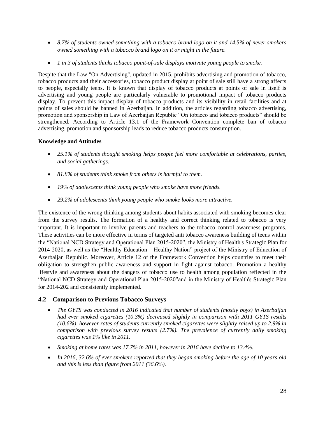- *8.7% of students owned something with a tobacco brand logo on it and 14.5% of never smokers owned something with a tobacco brand logo on it or might in the future.*
- *1 in 3 of students thinks tobacco point-of-sale displays motivate young people to smoke.*

Despite that the Law "On Advertising", updated in 2015, prohibits advertising and promotion of tobacco, tobacco products and their accessories, tobacco product display at point of sale still have a strong affects to people, especially teens. It is known that display of tobacco products at points of sale in itself is advertising and young people are particularly vulnerable to promotional impact of tobacco products display. To prevent this impact display of tobacco products and its visibility in retail facilities and at points of sales should be banned in Azerbaijan. In addition, the articles regarding tobacco advertising, promotion and sponsorship in Law of Azerbaijan Republic "On tobacco and tobacco products" should be strengthened. According to Article 13.1 of the Framework Convention complete ban of tobacco advertising, promotion and sponsorship leads to reduce tobacco products consumption.

#### <span id="page-27-0"></span>**Knowledge and Attitudes**

- *25.1% of students thought smoking helps people feel more comfortable at celebrations, parties, and social gatherings.*
- *81.8% of students think smoke from others is harmful to them.*
- *19% of adolescents think young people who smoke have more friends.*
- *29.2% of adolescents think young people who smoke looks more attractive.*

The existence of the wrong thinking among students about habits associated with smoking becomes clear from the survey results. The formation of a healthy and correct thinking related to tobacco is very important. It is important to involve parents and teachers to the tobacco control awareness programs. These activities can be more effective in terms of targeted anti tobacco awareness building of teens within the "National NCD Strategy and Operational Plan 2015-2020", the Ministry of Health's Strategic Plan for 2014-2020, as well as the "Healthy Education – Healthy Nation" project of the Ministry of Education of Azerbaijan Republic. Moreover, Article 12 of the Framework Convention helps countries to meet their obligation to strengthen public awareness and support in fight against tobacco. Promotion a healthy lifestyle and awareness about the dangers of tobacco use to health among population reflected in the "National NCD Strategy and Operational Plan 2015-2020"and in the Ministry of Health's Strategic Plan for 2014-202 and consistently implemented.

#### **4.2 Comparison to Previous Tobacco Surveys**

- *The GYTS was conducted in 2016 indicated that number of students (mostly boys) in Azerbaijan had ever smoked cigarettes (10.3%) decreased slightly in comparison with 2011 GYTS results (10.6%), however rates of students currently smoked cigarettes were slightly raised up to 2.9% in comparison with previous survey results (2.7%). The prevalence of currently daily smoking cigarettes was 1% like in 2011.*
- *Smoking at home rates was 17.7% in 2011, however in 2016 have decline to 13.4%.*
- *In 2016, 32.6% of ever smokers reported that they began smoking before the age of 10 years old and this is less than figure from 2011 (36.6%).*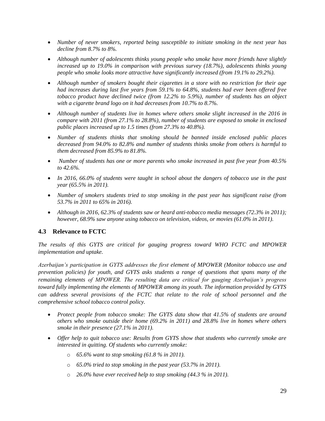- *Number of never smokers, reported being susceptible to initiate smoking in the next year has decline from 8.7% to 8%.*
- *Although number of adolescents thinks young people who smoke have more friends have slightly increased up to 19.0% in comparison with previous survey (18.7%), adolescents thinks young people who smoke looks more attractive have significantly increased (from 19.1% to 29.2%).*
- *Although number of smokers bought their cigarettes in a store with no restriction for their age had increases during last five years from 59.1% to 64.8%, students had ever been offered free tobacco product have declined twice (from 12.2% to 5.9%), number of students has an object with a cigarette brand logo on it had decreases from 10.7% to 8.7%.*
- Although number of students live in homes where others smoke slight increased in the 2016 in *compare with 2011 (from 27.1% to 28.8%), number of students are exposed to smoke in enclosed public places increased up to 1.5 times (from 27.3% to 40.8%).*
- *Number of students thinks that smoking should be banned inside enclosed public places decreased from 94.0% to 82.8% and number of students thinks smoke from others is harmful to them decreased from 85.9% to 81.8%.*
- *Number of students has one or more parents who smoke increased in past five year from 40.5% to 42.6%.*
- In 2016, 66.0% of students were taught in school about the dangers of tobacco use in the past *year (65.5% in 2011).*
- *Number of smokers students tried to stop smoking in the past year has significant raise (from 53.7% in 2011 to 65% in 2016).*
- *Although in 2016, 62.3% of students saw or heard anti-tobacco media messages (72.3% in 2011); however, 68.9% saw anyone using tobacco on television, videos, or movies (61.0% in 2011).*

# <span id="page-28-0"></span>**4.3 Relevance to FCTC**

*The results of this GYTS are critical for gauging progress toward WHO FCTC and MPOWER implementation and uptake.*

*Azerbaijan's participation in GYTS addresses the first element of MPOWER (Monitor tobacco use and prevention policies) for youth, and GYTS asks students a range of questions that spans many of the remaining elements of MPOWER. The resulting data are critical for gauging Azerbaijan's progress toward fully implementing the elements of MPOWER among its youth. The information provided by GYTS can address several provisions of the FCTC that relate to the role of school personnel and the comprehensive school tobacco control policy.*

- *Protect people from tobacco smoke: The GYTS data show that 41.5% of students are around others who smoke outside their home (69.2% in 2011) and 28.8% live in homes where others smoke in their presence (27.1% in 2011).*
- *Offer help to quit tobacco use: Results from GYTS show that students who currently smoke are interested in quitting. Of students who currently smoke:*
	- o *65.6% want to stop smoking (61.8 % in 2011).*
	- o *65.0% tried to stop smoking in the past year (53.7% in 2011).*
	- o *26.0% have ever received help to stop smoking (44.3 % in 2011).*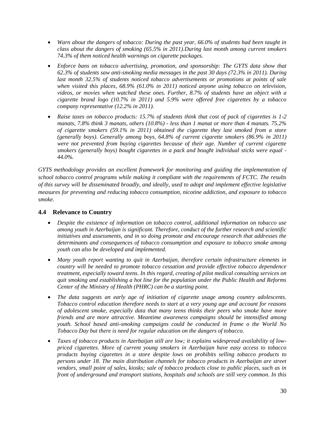- *Warn about the dangers of tobacco: During the past year, 66.0% of students had been taught in class about the dangers of smoking (65.5% in 2011).During last month among current smokers 74.3% of them noticed health warnings on cigarette packages.*
- Enforce bans on tobacco advertising, promotion, and sponsorship: The GYTS data show that *62.3% of students saw anti-smoking media messages in the past 30 days (72.3% in 2011). During last month 32.5% of students noticed tobacco advertisements or promotions at points of sale when visited this places, 68.9% (61.0% in 2011) noticed anyone using tobacco on television, videos, or movies when watched these ones. Further, 8.7% of students have an object with a cigarette brand logo (10.7% in 2011) and 5.9% were offered free cigarettes by a tobacco company representative (12.2% in 2011).*
- *Raise taxes on tobacco products: 15.7% of students think that cost of pack of cigarettes is 1-2 manats, 7.8% think 3 manats, others (10.8%) - less than 1 manat or more than 4 manats. 75.2% of cigarette smokers (59.1% in 2011) obtained the cigarette they last smoked from a store (generally boys). Generally among boys, 64.8% of current cigarette smokers (86.9% in 2011) were not prevented from buying cigarettes because of their age. Number of current cigarette smokers (generally boys) bought cigarettes in a pack and bought individual sticks were equal - 44.0%.*

*GYTS methodology provides an excellent framework for monitoring and guiding the implementation of school tobacco control programs while making it compliant with the requirements of FCTC. The results of this survey will be disseminated broadly, and ideally, used to adopt and implement effective legislative measures for preventing and reducing tobacco consumption, nicotine addiction, and exposure to tobacco smoke.*

# <span id="page-29-0"></span>**4.4 Relevance to Country**

- *Despite the existence of information on tobacco control, additional information on tobacco use among youth in Azerbaijan is significant. Therefore, conduct of the further research and scientific initiatives and assessments, and in so doing promote and encourage research that addresses the determinants and consequences of tobacco consumption and exposure to tobacco smoke among youth can also be developed and implemented.*
- *Many youth report wanting to quit in Azerbaijan, therefore certain infrastructure elements in country will be needed to promote tobacco cessation and provide effective tobacco dependence treatment, especially toward teens. In this regard, creating of pilot medical consulting services on quit smoking and establishing a hot line for the population under the Public Health and Reforms Center of the Ministry of Health (PHRC) can be a starting point.*
- *The data suggests an early age of initiation of cigarette usage among country adolescents. Tobacco control education therefore needs to start at a very young age and account for reasons of adolescent smoke, especially data that many teens thinks their peers who smoke have more friends and are more attractive. Meantime awareness campaigns should be intensified among youth. School based anti-smoking campaigns could be conducted in frame o the World No Tobacco Day but there is need for regular education on the dangers of tobacco.*
- *Taxes of tobacco products in Azerbaijan still are low; it explains widespread availability of lowpriced cigarettes. More of current young smokers in Azerbaijan have easy access to tobacco products buying cigarettes in a store despite lows on prohibits selling tobacco products to persons under 18. The main distribution channels for tobacco products in Azerbaijan are street vendors, small point of sales, kiosks; sale of tobacco products close to public places, such as in front of underground and transport stations, hospitals and schools are still very common. In this*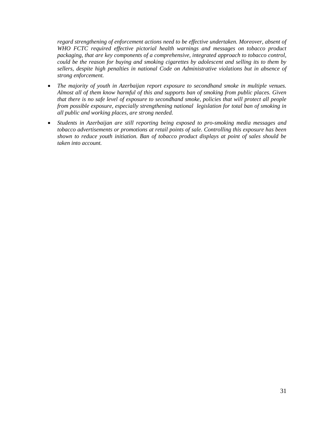*regard strengthening of enforcement actions need to be effective undertaken. Moreover, absent of WHO FCTC required effective pictorial health warnings and messages on tobacco product packaging, that are key components of a comprehensive, integrated approach to tobacco control, could be the reason for buying and smoking cigarettes by adolescent and selling its to them by sellers, despite high penalties in national Code on Administrative violations but in absence of strong enforcement.*

- *The majority of youth in Azerbaijan report exposure to secondhand smoke in multiple venues. Almost all of them know harmful of this and supports ban of smoking from public places. Given that there is no safe level of exposure to secondhand smoke, policies that will protect all people from possible exposure, especially strengthening national legislation for total ban of smoking in all public and working places, are strong needed.*
- *Students in Azerbaijan are still reporting being exposed to pro-smoking media messages and tobacco advertisements or promotions at retail points of sale. Controlling this exposure has been shown to reduce youth initiation. Ban of tobacco product displays at point of sales should be taken into account.*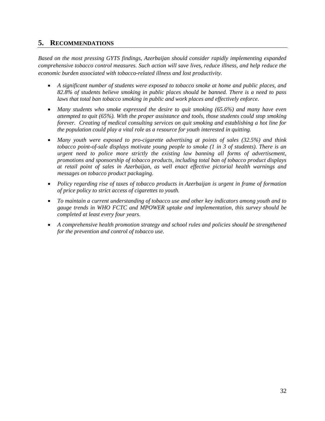# <span id="page-31-0"></span>**5. RECOMMENDATIONS**

*Based on the most pressing GYTS findings, Azerbaijan should consider rapidly implementing expanded comprehensive tobacco control measures. Such action will save lives, reduce illness, and help reduce the economic burden associated with tobacco-related illness and lost productivity.* 

- *A significant number of students were exposed to tobacco smoke at home and public places, and 82.8% of students believe smoking in public places should be banned. There is a need to pass laws that total ban tobacco smoking in public and work places and effectively enforce.*
- *Many students who smoke expressed the desire to quit smoking (65.6%) and many have even attempted to quit (65%). With the proper assistance and tools, those students could stop smoking forever. Creating of medical consulting services on quit smoking and establishing a hot line for the population could play a vital role as a resource for youth interested in quitting.*
- *Many youth were exposed to pro-cigarette advertising at points of sales (32.5%) and think tobacco point-of-sale displays motivate young people to smoke (1 in 3 of students). There is an urgent need to police more strictly the existing law banning all forms of advertisement, promotions and sponsorship of tobacco products, including total ban of tobacco product displays at retail point of sales in Azerbaijan, as well enact effective pictorial health warnings and messages on tobacco product packaging.*
- *Policy regarding rise of taxes of tobacco products in Azerbaijan is urgent in frame of formation of price policy to strict access of cigarettes to youth.*
- *To maintain a current understanding of tobacco use and other key indicators among youth and to gauge trends in WHO FCTC and MPOWER uptake and implementation, this survey should be completed at least every four years.*
- *A comprehensive health promotion strategy and school rules and policies should be strengthened for the prevention and control of tobacco use.*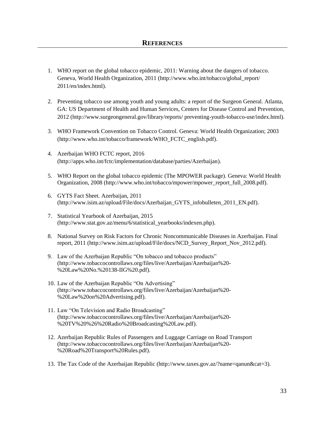- <span id="page-32-0"></span>1. WHO report on the global tobacco epidemic, 2011: Warning about the dangers of tobacco. Geneva, World Health Organization, 2011 [\(http://www.who.int/tobacco/global\\_report/](http://www.who.int/tobacco/global_report/%202011/en/index.html)  [2011/en/index.html\)](http://www.who.int/tobacco/global_report/%202011/en/index.html).
- 2. Preventing tobacco use among youth and young adults: a report of the Surgeon General. Atlanta, GA: US Department of Health and Human Services, Centers for Disease Control and Prevention, 2012 (http:/[/www.surgeongeneral.gov/library/reports/ preventing-youth-t](http://www.surgeongeneral.gov/library/reports/%20preventing-youth-)obacco-use/index.html).
- 3. WHO Framework Convention on Tobacco Control. Geneva: World Health Organization; 2003 [\(http://www.who.int/tobacco/framework/WHO\\_FCTC\\_english.pdf\)](http://www.who.int/tobacco/framework/WHO_FCTC_english.pdf).
- 4. Azerbaijan WHO FCTC report, 2016 [\(http://apps.who.int/fctc/implementation/database/parties/Azerbaijan\)](http://apps.who.int/fctc/implementation/database/parties/Azerbaijan).
- 5. WHO Report on the global tobacco epidemic (The MPOWER package). Geneva: World Health Organization, 2008 (http://www.who.int/tobacco/mpower/mpower\_report\_full\_2008.pdf).
- 6. GYTS Fact Sheet. Azerbaijan, 2011 (http://www.isim.az/upload/File/docs/Azerbaijan\_GYTS\_infobulleten\_2011\_EN.pdf).
- 7. Statistical Yearbook of Azerbaijan, 2015 (http://www.stat.gov.az/menu/6/statistical\_yearbooks/indexen.php).
- 8. National Survey on Risk Factors for Chronic Noncommunicable Diseases in Azerbaijan. Final report, 2011 (http://www.isim.az/upload/File/docs/NCD\_Survey\_Report\_Nov\_2012.pdf).
- 9. Law of the Azerbaijan Republic "On tobacco and tobacco products" (http://www.tobaccocontrollaws.org/files/live/Azerbaijan/Azerbaijan%20- %20Law%20No.%20138-IIG%20.pdf).
- 10. Law of the Azerbaijan Republic "On Advertising" [\(http://www.tobaccocontrollaws.org/files/live/Azerbaijan/Azerbaijan%20-](http://www.tobaccocontrollaws.org/files/live/Azerbaijan/Azerbaijan%20-%20Law%20on%20Advertising.pdf) [%20Law%20on%20Advertising.pdf\)](http://www.tobaccocontrollaws.org/files/live/Azerbaijan/Azerbaijan%20-%20Law%20on%20Advertising.pdf).
- 11. Law "On Television and Radio Broadcasting" [\(http://www.tobaccocontrollaws.org/files/live/Azerbaijan/Azerbaijan%20-](http://www.tobaccocontrollaws.org/files/live/Azerbaijan/Azerbaijan%20-%20TV%20%26%20Radio%20Broadcasting%20Law.pdf) [%20TV%20%26%20Radio%20Broadcasting%20Law.pdf\)](http://www.tobaccocontrollaws.org/files/live/Azerbaijan/Azerbaijan%20-%20TV%20%26%20Radio%20Broadcasting%20Law.pdf).
- 12. Azerbaijan Republic Rules of Passengers and Luggage Carriage on Road Transport (http://www.tobaccocontrollaws.org/files/live/Azerbaijan/Azerbaijan%20- %20Road%20Transport%20Rules.pdf).
- 13. The Tax Code of the Azerbaijan Republic [\(http://www.taxes.gov.az/?name=qanun&cat=3\)](http://www.taxes.gov.az/?name=qanun&cat=3).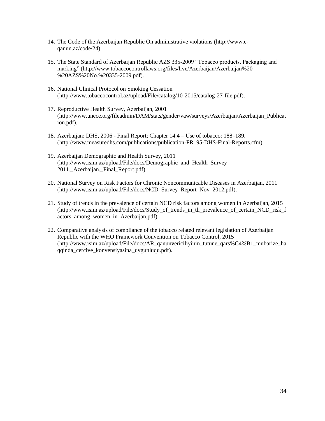- 14. The Code of the Azerbaijan Republic On administrative violations [\(http://www.e](http://www.e-qanun.az/code/24)[qanun.az/code/24\)](http://www.e-qanun.az/code/24).
- 15. The State Standard of Azerbaijan Republic AZS 335-2009 "Tobacco products. Packaging and marking" [\(http://www.tobaccocontrollaws.org/files/live/Azerbaijan/Azerbaijan%20-](http://www.tobaccocontrollaws.org/files/live/Azerbaijan/Azerbaijan%20-%20AZS%20No.%20335-2009.pdf) [%20AZS%20No.%20335-2009.pdf\)](http://www.tobaccocontrollaws.org/files/live/Azerbaijan/Azerbaijan%20-%20AZS%20No.%20335-2009.pdf).
- 16. National Clinical Protocol on Smoking Cessation [\(http://www.tobaccocontrol.az/upload/File/catalog/10-2015/catalog-27-file.pdf\)](http://www.tobaccocontrol.az/upload/File/catalog/10-2015/catalog-27-file.pdf).
- 17. Reproductive Health Survey, Azerbaijan, 2001 [\(http://www.unece.org/fileadmin/DAM/stats/gender/vaw/surveys/Azerbaijan/Azerbaijan\\_Publicat](http://www.unece.org/fileadmin/DAM/stats/gender/vaw/surveys/Azerbaijan/Azerbaijan_Publication.pdf) [ion.pdf\)](http://www.unece.org/fileadmin/DAM/stats/gender/vaw/surveys/Azerbaijan/Azerbaijan_Publication.pdf).
- 18. Azerbaijan: DHS, 2006 Final Report; Chapter 14.4 Use of tobacco: 188–189. [\(http://www.measuredhs.com/publications/publication-FR195-DHS-Final-Reports.cfm\)](http://www.measuredhs.com/publications/publication-FR195-DHS-Final-Reports.cfm).
- 19. Azerbaijan Demographic and Health Survey, 2011 (http://www.isim.az/upload/File/docs/Demographic\_and\_Health\_Survey-2011. Azerbaijan. Final Report.pdf).
- 20. National Survey on Risk Factors for Chronic Noncommunicable Diseases in Azerbaijan, 2011 [\(http://www.isim.az/upload/File/docs/NCD\\_Survey\\_Report\\_Nov\\_2012.pdf\)](http://www.isim.az/upload/File/docs/NCD_Survey_Report_Nov_2012.pdf).
- 21. Study of trends in the prevalence of certain NCD risk factors among women in Azerbaijan, 2015 [\(http://www.isim.az/upload/File/docs/Study\\_of\\_trends\\_in\\_th\\_prevalence\\_of\\_certain\\_NCD\\_risk\\_f](http://www.isim.az/upload/File/docs/Study_of_trends_in_th_prevalence_of_certain_NCD_risk_factors_among_women_in_Azerbaijan.pdf) actors among women in Azerbaijan.pdf).
- 22. Comparative analysis of compliance of the tobacco related relevant legislation of Azerbaijan Republic with the WHO Framework Convention on Tobacco Control, 2015 (http://www.isim.az/upload/File/docs/AR\_qanunvericiliyinin\_tutune\_qars%C4%B1\_mubarize\_ha qqinda\_cercive\_konvensiyasina\_uygunluqu.pdf).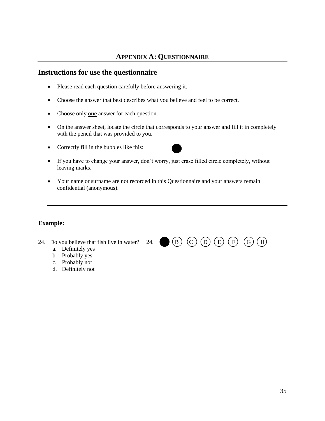# **APPENDIX A: QUESTIONNAIRE**

# <span id="page-34-0"></span>**Instructions for use the questionnaire**

- Please read each question carefully before answering it.
- Choose the answer that best describes what you believe and feel to be correct.
- Choose only **one** answer for each question.
- On the answer sheet, locate the circle that corresponds to your answer and fill it in completely with the pencil that was provided to you.
- Correctly fill in the bubbles like this:



- If you have to change your answer, don't worry, just erase filled circle completely, without leaving marks.
- Your name or surname are not recorded in this Questionnaire and your answers remain confidential (anonymous).

#### **Example:**

- 24. Do you believe that fish live in water? 24. **(B)** (C) (D) (E) (F) (G) (H)
	- a. Definitely yes
	- b. Probably yes
	- c. Probably not
	- d. Definitely not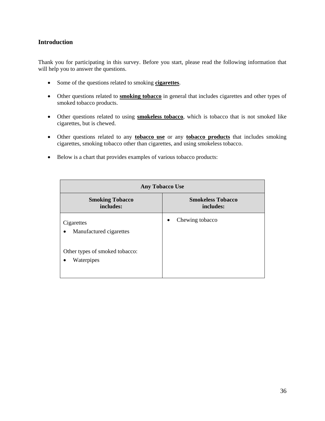#### **Introduction**

Thank you for participating in this survey. Before you start, please read the following information that will help you to answer the questions.

- Some of the questions related to smoking **cigarettes**.
- Other questions related to **smoking tobacco** in general that includes cigarettes and other types of smoked tobacco products.
- Other questions related to using **smokeless tobacco**, which is tobacco that is not smoked like cigarettes, but is chewed.
- Other questions related to any **tobacco use** or any **tobacco products** that includes smoking cigarettes, smoking tobacco other than cigarettes, and using smokeless tobacco.
- Below is a chart that provides examples of various tobacco products:

| <b>Any Tobacco Use</b>                                    |                                       |
|-----------------------------------------------------------|---------------------------------------|
| <b>Smoking Tobacco</b><br>includes:                       | <b>Smokeless Tobacco</b><br>includes: |
| Cigarettes<br>Manufactured cigarettes<br>$\bullet$        | Chewing tobacco<br>$\bullet$          |
| Other types of smoked tobacco:<br>Waterpipes<br>$\bullet$ |                                       |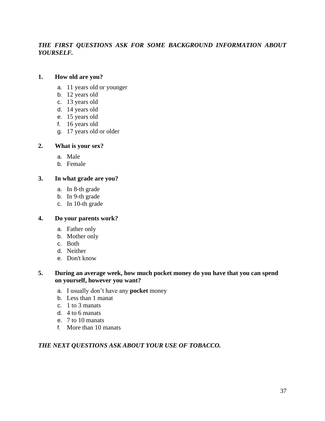# *THE FIRST QUESTIONS ASK FOR SOME BACKGROUND INFORMATION ABOUT YOURSELF.*

#### **1. How old are you?**

- a. 11 years old or younger
- b. 12 years old
- c. 13 years old
- d. 14 years old
- e. 15 years old
- f. 16 years old
- g. 17 years old or older

#### **2. What is your sex?**

- a. Male
- b. Female

#### **3. In what grade are you?**

- a. In 8-th grade
- b. In 9-th grade
- c. In 10-th grade

#### **4. Do your parents work?**

- a. Father only
- b. Mother only
- c. Both
- d. Neither
- e. Don't know

#### **5. During an average week, how much pocket money do you have that you can spend on yourself, however you want?**

- a. I usually don't have any **pocket** money
- b. Less than 1 manat
- c. 1 to 3 manats
- d. 4 to 6 manats
- e. 7 to 10 manats
- f. More than 10 manats

# *THE NEXT QUESTIONS ASK ABOUT YOUR USE OF TOBACCO.*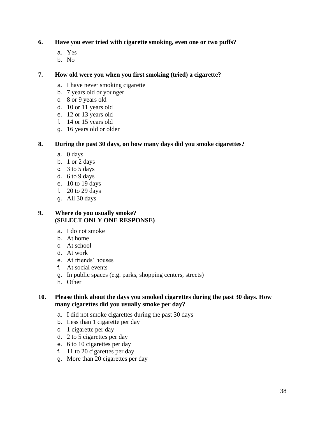# **6. Have you ever tried with cigarette smoking, even one or two puffs?**

- a. Yes
- b. No

#### **7. How old were you when you first smoking (tried) a cigarette?**

- a. I have never smoking cigarette
- b. 7 years old or younger
- c. 8 or 9 years old
- d. 10 or 11 years old
- e. 12 or 13 years old
- f. 14 or 15 years old
- g. 16 years old or older

#### **8. During the past 30 days, on how many days did you smoke cigarettes?**

- a. 0 days
- b. 1 or 2 days
- c. 3 to 5 days
- d. 6 to 9 days
- e. 10 to 19 days
- f. 20 to 29 days
- g. All 30 days

#### **9. Where do you usually smoke? (SELECT ONLY ONE RESPONSE)**

- a. I do not smoke
- b. At home
- c. At school
- d. At work
- e. At friends' houses
- f. At social events
- g. In public spaces (e.g. parks, shopping centers, streets)
- h. Other

#### **10. Please think about the days you smoked cigarettes during the past 30 days. How many cigarettes did you usually smoke per day?**

- a. I did not smoke cigarettes during the past 30 days
- b. Less than 1 cigarette per day
- c. 1 cigarette per day
- d. 2 to 5 cigarettes per day
- e. 6 to 10 cigarettes per day
- f. 11 to 20 cigarettes per day
- g. More than 20 cigarettes per day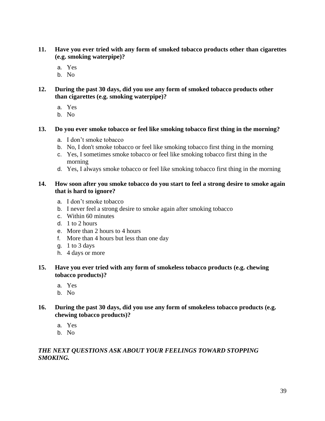- **11. Have you ever tried with any form of smoked tobacco products other than cigarettes (e.g. smoking waterpipe)?**
	- a. Yes
	- b. No
- **12. During the past 30 days, did you use any form of smoked tobacco products other than cigarettes (e.g. smoking waterpipe)?**
	- a. Yes
	- b. No

#### **13. Do you ever smoke tobacco or feel like smoking tobacco first thing in the morning?**

- a. I don't smoke tobacco
- b. No, I don't smoke tobacco or feel like smoking tobacco first thing in the morning
- c. Yes, I sometimes smoke tobacco or feel like smoking tobacco first thing in the morning
- d. Yes, I always smoke tobacco or feel like smoking tobacco first thing in the morning

#### **14. How soon after you smoke tobacco do you start to feel a strong desire to smoke again that is hard to ignore?**

- a. I don't smoke tobacco
- b. I never feel a strong desire to smoke again after smoking tobacco
- c. Within 60 minutes
- d. 1 to 2 hours
- e. More than 2 hours to 4 hours
- f. More than 4 hours but less than one day
- g. 1 to 3 days
- h. 4 days or more

# **15. Have you ever tried with any form of smokeless tobacco products (e.g. chewing tobacco products)?**

- a. Yes
- b. No
- **16. During the past 30 days, did you use any form of smokeless tobacco products (e.g. chewing tobacco products)?**
	- a. Yes
	- b. No

# *THE NEXT QUESTIONS ASK ABOUT YOUR FEELINGS TOWARD STOPPING SMOKING.*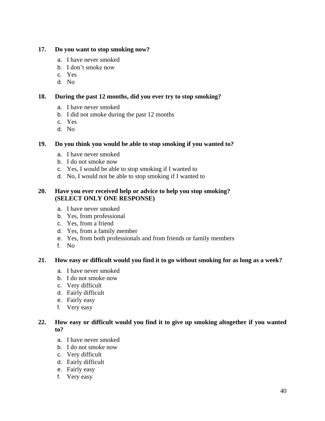#### **17. Do you want to stop smoking now?**

- a. I have never smoked
- b. I don't smoke now
- c. Yes
- d. No

# **18. During the past 12 months, did you ever try to stop smoking?**

- a. I have never smoked
- b. I did not smoke during the past 12 months
- c. Yes
- d. No

# **19. Do you think you would be able to stop smoking if you wanted to?**

- a. I have never smoked
- b. I do not smoke now
- c. Yes, I would be able to stop smoking if I wanted to
- d. No, I would not be able to stop smoking if I wanted to

#### **20. Have you ever received help or advice to help you stop smoking? (SELECT ONLY ONE RESPONSE)**

- a. I have never smoked
- b. Yes, from professional
- c. Yes, from a friend
- d. Yes, from a family member
- e. Yes, from both professionals and from friends or family members
- f. No

# **21. How easy or difficult would you find it to go without smoking for as long as a week?**

- a. I have never smoked
- b. I do not smoke now
- c. Very difficult
- d. Fairly difficult
- e. Fairly easy
- f. Very easy

# **22. How easy or difficult would you find it to give up smoking altogether if you wanted to?**

- a. I have never smoked
- b. I do not smoke now
- c. Very difficult
- d. Fairly difficult
- e. Fairly easy
- f. Very easy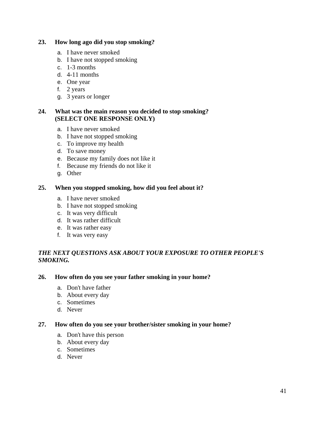#### **23. How long ago did you stop smoking?**

- a. I have never smoked
- b. I have not stopped smoking
- c. 1-3 months
- d. 4-11 months
- e. One year
- f. 2 years
- g. 3 years or longer

#### **24. What was the main reason you decided to stop smoking? (SELECT ONE RESPONSE ONLY)**

- a. I have never smoked
- b. I have not stopped smoking
- c. To improve my health
- d. To save money
- e. Because my family does not like it
- f. Because my friends do not like it
- g. Other

#### **25. When you stopped smoking, how did you feel about it?**

- a. I have never smoked
- b. I have not stopped smoking
- c. It was very difficult
- d. It was rather difficult
- e. It was rather easy
- f. It was very easy

# *THE NEXT QUESTIONS ASK ABOUT YOUR EXPOSURE TO OTHER PEOPLE'S SMOKING.*

#### **26. How often do you see your father smoking in your home?**

- a. Don't have father
- b. About every day
- c. Sometimes
- d. Never

#### **27. How often do you see your brother/sister smoking in your home?**

- a. Don't have this person
- b. About every day
- c. Sometimes
- d. Never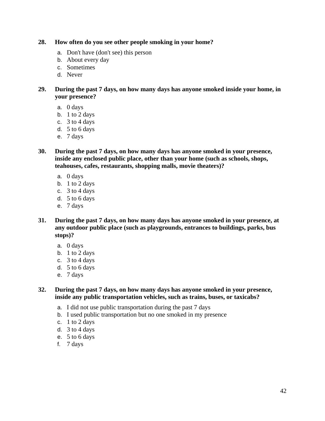#### **28. How often do you see other people smoking in your home?**

- a. Don't have (don't see) this person
- b. About every day
- c. Sometimes
- d. Never

**29. During the past 7 days, on how many days has anyone smoked inside your home, in your presence?**

- a. 0 days
- b. 1 to 2 days
- c. 3 to 4 days
- d. 5 to 6 days
- e. 7 days

**30. During the past 7 days, on how many days has anyone smoked in your presence, inside any enclosed public place, other than your home (such as schools, shops, teahouses, cafes, restaurants, shopping malls, movie theaters)?**

- a. 0 days
- b. 1 to 2 days
- c.  $3$  to 4 days
- d. 5 to 6 days
- e. 7 days
- **31. During the past 7 days, on how many days has anyone smoked in your presence, at any outdoor public place (such as playgrounds, entrances to buildings, parks, bus stops)?**
	- a. 0 days
	- b. 1 to 2 days
	- c. 3 to 4 days
	- d. 5 to 6 days
	- e. 7 days

**32. During the past 7 days, on how many days has anyone smoked in your presence, inside any public transportation vehicles, such as trains, buses, or taxicabs?** 

- a. I did not use public transportation during the past 7 days
- b. I used public transportation but no one smoked in my presence
- c. 1 to 2 days
- d. 3 to 4 days
- e. 5 to 6 days
- f. 7 days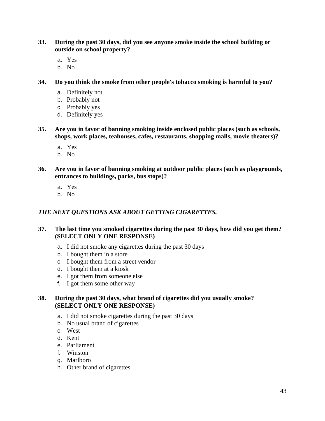- **33. During the past 30 days, did you see anyone smoke inside the school building or outside on school property?**
	- a. Yes
	- b. No
- **34. Do you think the smoke from other people's tobacco smoking is harmful to you?**
	- a. Definitely not
	- b. Probably not
	- c. Probably yes
	- d. Definitely yes
- **35. Are you in favor of banning smoking inside enclosed public places (such as schools, shops, work places, teahouses, cafes, restaurants, shopping malls, movie theaters)?**
	- a. Yes
	- b. No
- **36. Are you in favor of banning smoking at outdoor public places (such as playgrounds, entrances to buildings, parks, bus stops)?**
	- a. Yes
	- b. No

# *THE NEXT QUESTIONS ASK ABOUT GETTING CIGARETTES.*

#### **37. The last time you smoked cigarettes during the past 30 days, how did you get them? (SELECT ONLY ONE RESPONSE)**

- a. I did not smoke any cigarettes during the past 30 days
- b. I bought them in a store
- c. I bought them from a street vendor
- d. I bought them at a kiosk
- e. I got them from someone else
- f. I got them some other way

# **38. During the past 30 days, what brand of cigarettes did you usually smoke? (SELECT ONLY ONE RESPONSE)**

- a. I did not smoke cigarettes during the past 30 days
- b. No usual brand of cigarettes
- c. West
- d. Kent
- e. Parliament
- f. Winston
- g. Marlboro
- h. Other brand of cigarettes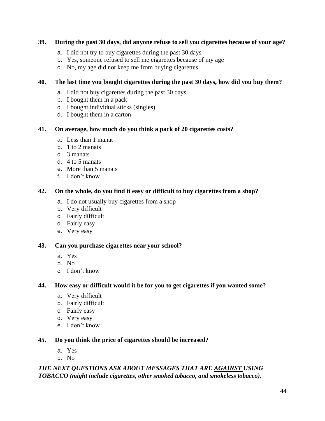# **39. During the past 30 days, did anyone refuse to sell you cigarettes because of your age?**

- a. I did not try to buy cigarettes during the past 30 days
- b. Yes, someone refused to sell me cigarettes because of my age
- c. No, my age did not keep me from buying cigarettes

# **40. The last time you bought cigarettes during the past 30 days, how did you buy them?**

- a. I did not buy cigarettes during the past 30 days
- b. I bought them in a pack
- c. I bought individual sticks (singles)
- d. I bought them in a carton

# **41. On average, how much do you think a pack of 20 cigarettes costs?**

- a. Less than 1 manat
- b. 1 to 2 manats
- c. 3 manats
- d. 4 to 5 manats
- e. More than 5 manats
- f. I don't know

# **42. On the whole, do you find it easy or difficult to buy cigarettes from a shop?**

- a. I do not usually buy cigarettes from a shop
- b. Very difficult
- c. Fairly difficult
- d. Fairly easy
- e. Very easy

# **43. Can you purchase cigarettes near your school?**

- a. Yes
- b. No
- c. I don't know

# **44. How easy or difficult would it be for you to get cigarettes if you wanted some?**

- a. Very difficult
- b. Fairly difficult
- c. Fairly easy
- d. Very easy
- e. I don't know

# **45. Do you think the price of cigarettes should be increased?**

- a. Yes
- b. No

# *THE NEXT QUESTIONS ASK ABOUT MESSAGES THAT ARE AGAINST USING TOBACCO (might include cigarettes, other smoked tobacco, and smokeless tobacco).*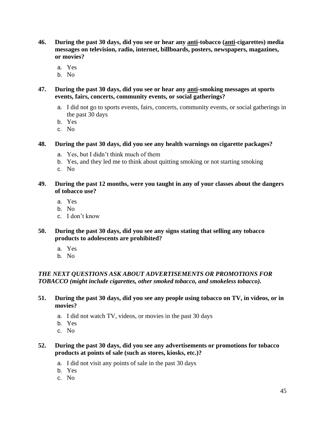- **46. During the past 30 days, did you see or hear any anti-tobacco (anti-cigarettes) media messages on television, radio, internet, billboards, posters, newspapers, magazines, or movies?**
	- a. Yes
	- b. No
- **47. During the past 30 days, did you see or hear any anti-smoking messages at sports events, fairs, concerts, community events, or social gatherings?**
	- a. I did not go to sports events, fairs, concerts, community events, or social gatherings in the past 30 days
	- b. Yes
	- c. No

# **48. During the past 30 days, did you see any health warnings on cigarette packages?**

- a. Yes, but I didn't think much of them
- b. Yes, and they led me to think about quitting smoking or not starting smoking
- c. No

# **49. During the past 12 months, were you taught in any of your classes about the dangers of tobacco use?**

- a. Yes
- b. No
- c. I don't know

#### **50. During the past 30 days, did you see any signs stating that selling any tobacco products to adolescents are prohibited?**

- a. Yes
- b. No

# *THE NEXT QUESTIONS ASK ABOUT ADVERTISEMENTS OR PROMOTIONS FOR TOBACCO (might include cigarettes, other smoked tobacco, and smokeless tobacco).*

- **51. During the past 30 days, did you see any people using tobacco on TV, in videos, or in movies?**
	- a. I did not watch TV, videos, or movies in the past 30 days
	- b. Yes
	- c. No

#### **52. During the past 30 days, did you see any advertisements or promotions for tobacco products at points of sale (such as stores, kiosks, etc.)?**

- a. I did not visit any points of sale in the past 30 days
- b. Yes
- c. No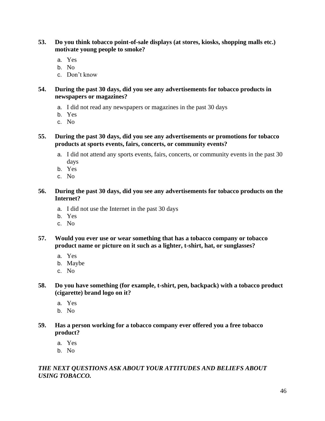- **53. Do you think tobacco point-of-sale displays (at stores, kiosks, shopping malls etc.) motivate young people to smoke?**
	- a. Yes
	- b. No
	- c. Don't know

**54. During the past 30 days, did you see any advertisements for tobacco products in newspapers or magazines?**

- a. I did not read any newspapers or magazines in the past 30 days
- b. Yes
- c. No
- **55. During the past 30 days, did you see any advertisements or promotions for tobacco products at sports events, fairs, concerts, or community events?**
	- a. I did not attend any sports events, fairs, concerts, or community events in the past 30 days
	- b. Yes
	- c. No
- **56. During the past 30 days, did you see any advertisements for tobacco products on the Internet?**
	- a. I did not use the Internet in the past 30 days
	- b. Yes
	- c. No
- **57. Would you ever use or wear something that has a tobacco company or tobacco product name or picture on it such as a lighter, t-shirt, hat, or sunglasses?**
	- a. Yes
	- b. Maybe
	- c. No
- **58. Do you have something (for example, t-shirt, pen, backpack) with a tobacco product (cigarette) brand logo on it?**
	- a. Yes
	- b. No
- **59. Has a person working for a tobacco company ever offered you a free tobacco product?**
	- a. Yes
	- b. No

# *THE NEXT QUESTIONS ASK ABOUT YOUR ATTITUDES AND BELIEFS ABOUT USING TOBACCO.*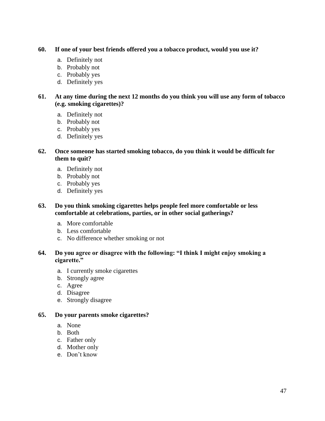#### **60. If one of your best friends offered you a tobacco product, would you use it?**

- a. Definitely not
- b. Probably not
- c. Probably yes
- d. Definitely yes

**61. At any time during the next 12 months do you think you will use any form of tobacco (e.g. smoking cigarettes)?**

- a. Definitely not
- b. Probably not
- c. Probably yes
- d. Definitely yes

#### **62. Once someone has started smoking tobacco, do you think it would be difficult for them to quit?**

- a. Definitely not
- b. Probably not
- c. Probably yes
- d. Definitely yes

#### **63. Do you think smoking cigarettes helps people feel more comfortable or less comfortable at celebrations, parties, or in other social gatherings?**

- a. More comfortable
- b. Less comfortable
- c. No difference whether smoking or not

#### **64. Do you agree or disagree with the following: "I think I might enjoy smoking a cigarette."**

- a. I currently smoke cigarettes
- b. Strongly agree
- c. Agree
- d. Disagree
- e. Strongly disagree

#### **65. Do your parents smoke cigarettes?**

- a. None
- b. Both
- c. Father only
- d. Mother only
- e. Don't know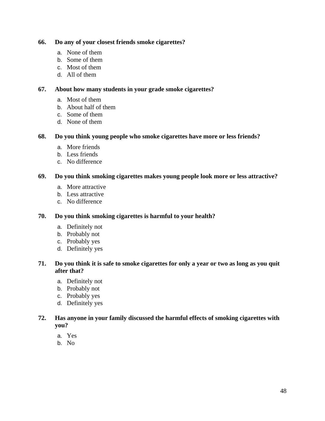#### **66. Do any of your closest friends smoke cigarettes?**

- a. None of them
- b. Some of them
- c. Most of them
- d. All of them

#### **67. About how many students in your grade smoke cigarettes?**

- a. Most of them
- b. About half of them
- c. Some of them
- d. None of them

#### **68. Do you think young people who smoke cigarettes have more or less friends?**

- a. More friends
- b. Less friends
- c. No difference

#### **69. Do you think smoking cigarettes makes young people look more or less attractive?**

- a. More attractive
- b. Less attractive
- c. No difference

#### **70. Do you think smoking cigarettes is harmful to your health?**

- a. Definitely not
- b. Probably not
- c. Probably yes
- d. Definitely yes

#### **71. Do you think it is safe to smoke cigarettes for only a year or two as long as you quit after that?**

- a. Definitely not
- b. Probably not
- c. Probably yes
- d. Definitely yes

# **72. Has anyone in your family discussed the harmful effects of smoking cigarettes with you?**

- a. Yes
- b. No